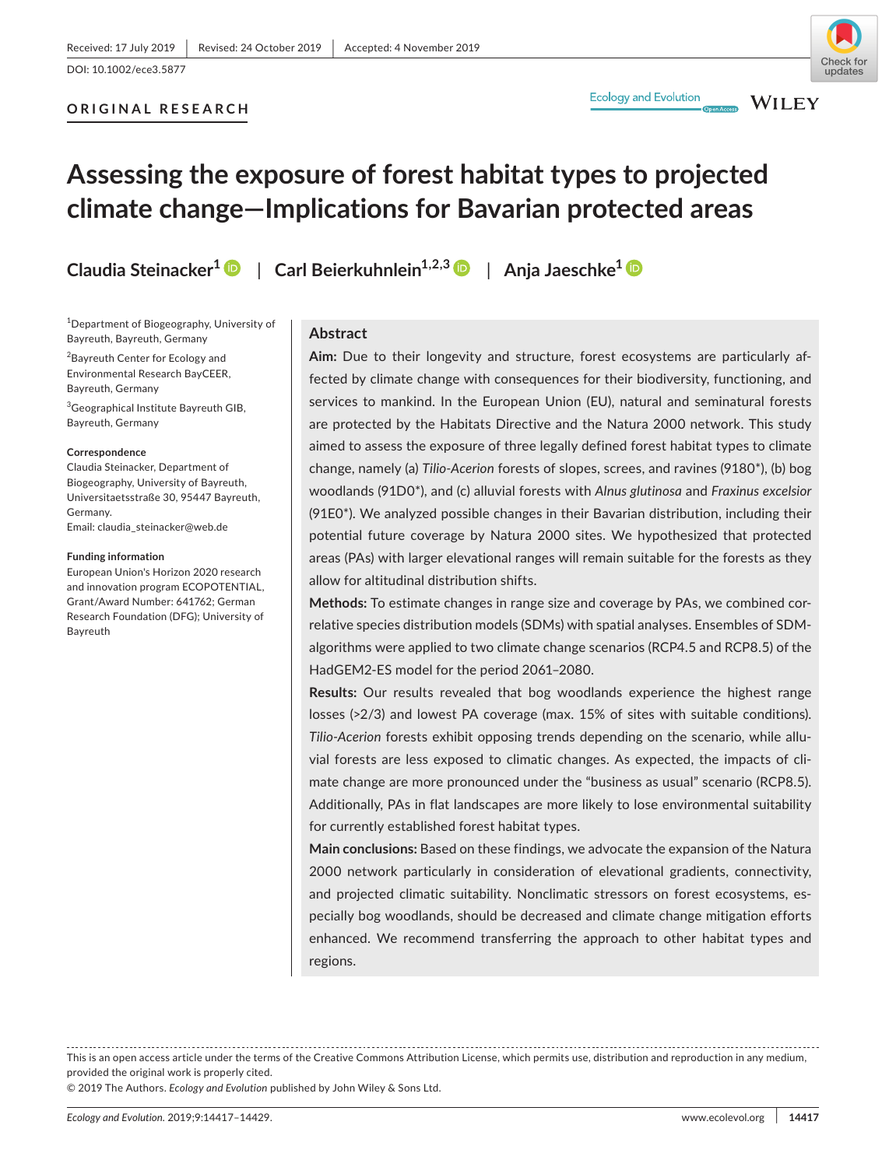# **ORIGINAL RESEARCH**





Check fo undates

# **Assessing the exposure of forest habitat types to projected climate change—Implications for Bavarian protected areas**

1 Department of Biogeography, University of Bayreuth, Bayreuth, Germany

2 Bayreuth Center for Ecology and Environmental Research BayCEER, Bayreuth, Germany

3 Geographical Institute Bayreuth GIB, Bayreuth, Germany

#### **Correspondence**

Claudia Steinacker, Department of Biogeography, University of Bayreuth, Universitaetsstraße 30, 95447 Bayreuth, Germany. Email: [claudia\\_steinacker@web.de](mailto:claudia_steinacker@web.de)

**Funding information**

European Union's Horizon 2020 research and innovation program ECOPOTENTIAL, Grant/Award Number: 641762; German Research Foundation (DFG); University of Bayreuth

**Claudia Steinacker1** | **Carl Beierkuhnlein1,2,3** | **Anja Jaeschke[1](https://orcid.org/0000-0001-8361-0960)**

#### **Abstract**

**Aim:** Due to their longevity and structure, forest ecosystems are particularly affected by climate change with consequences for their biodiversity, functioning, and services to mankind. In the European Union (EU), natural and seminatural forests are protected by the Habitats Directive and the Natura 2000 network. This study aimed to assess the exposure of three legally defined forest habitat types to climate change, namely (a) *Tilio-Acerion* forests of slopes, screes, and ravines (9180\*), (b) bog woodlands (91D0\*), and (c) alluvial forests with *Alnus glutinosa* and *Fraxinus excelsior* (91E0\*). We analyzed possible changes in their Bavarian distribution, including their potential future coverage by Natura 2000 sites. We hypothesized that protected areas (PAs) with larger elevational ranges will remain suitable for the forests as they allow for altitudinal distribution shifts.

**Methods:** To estimate changes in range size and coverage by PAs, we combined correlative species distribution models (SDMs) with spatial analyses. Ensembles of SDMalgorithms were applied to two climate change scenarios (RCP4.5 and RCP8.5) of the HadGEM2-ES model for the period 2061–2080.

**Results:** Our results revealed that bog woodlands experience the highest range losses (>2/3) and lowest PA coverage (max. 15% of sites with suitable conditions). *Tilio-Acerion* forests exhibit opposing trends depending on the scenario, while alluvial forests are less exposed to climatic changes. As expected, the impacts of climate change are more pronounced under the "business as usual" scenario (RCP8.5). Additionally, PAs in flat landscapes are more likely to lose environmental suitability for currently established forest habitat types.

**Main conclusions:** Based on these findings, we advocate the expansion of the Natura 2000 network particularly in consideration of elevational gradients, connectivity, and projected climatic suitability. Nonclimatic stressors on forest ecosystems, especially bog woodlands, should be decreased and climate change mitigation efforts enhanced. We recommend transferring the approach to other habitat types and regions.

This is an open access article under the terms of the [Creative Commons Attribution](http://creativecommons.org/licenses/by/4.0/) License, which permits use, distribution and reproduction in any medium, provided the original work is properly cited.

© 2019 The Authors. *Ecology and Evolution* published by John Wiley & Sons Ltd.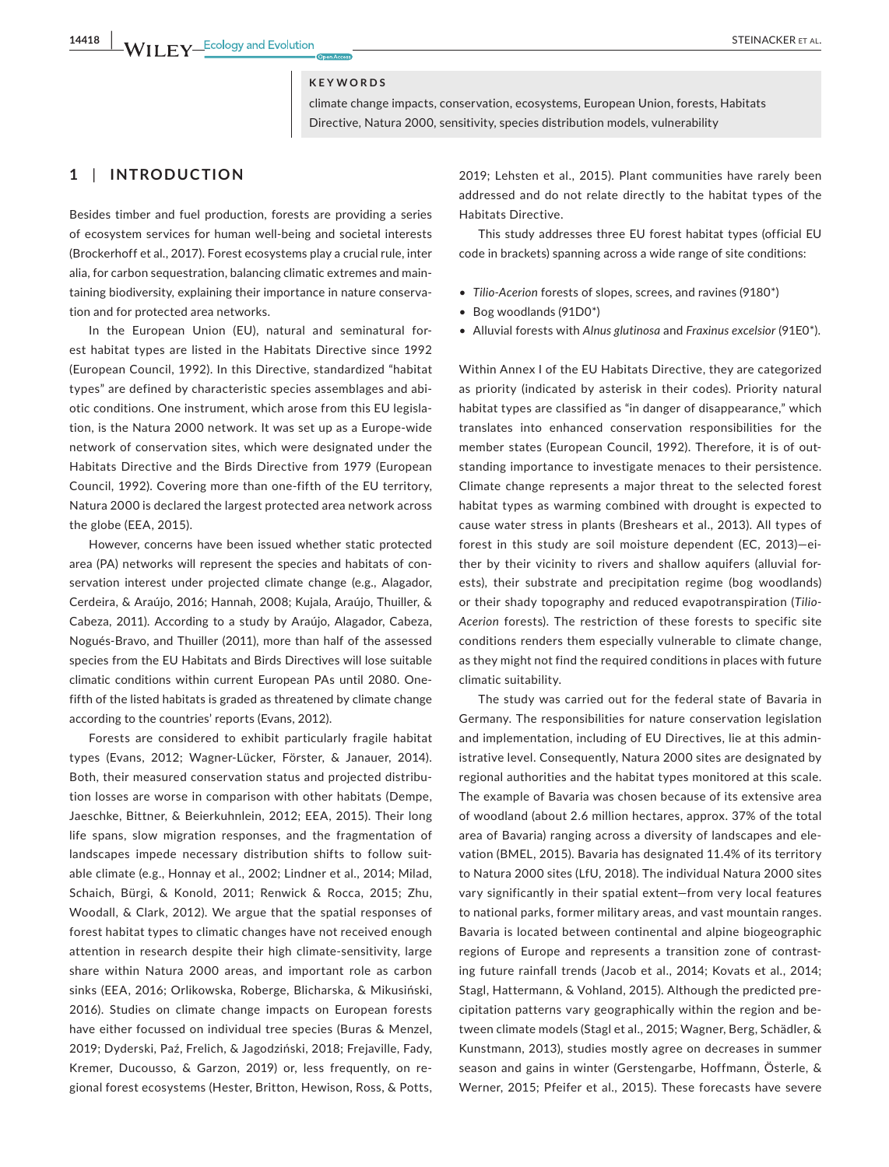#### **KEYWORDS**

climate change impacts, conservation, ecosystems, European Union, forests, Habitats Directive, Natura 2000, sensitivity, species distribution models, vulnerability

### **1** | **INTRODUCTION**

Besides timber and fuel production, forests are providing a series of ecosystem services for human well-being and societal interests (Brockerhoff et al., 2017). Forest ecosystems play a crucial rule, inter alia, for carbon sequestration, balancing climatic extremes and maintaining biodiversity, explaining their importance in nature conservation and for protected area networks.

In the European Union (EU), natural and seminatural forest habitat types are listed in the Habitats Directive since 1992 (European Council, 1992). In this Directive, standardized "habitat types" are defined by characteristic species assemblages and abiotic conditions. One instrument, which arose from this EU legislation, is the Natura 2000 network. It was set up as a Europe-wide network of conservation sites, which were designated under the Habitats Directive and the Birds Directive from 1979 (European Council, 1992). Covering more than one-fifth of the EU territory, Natura 2000 is declared the largest protected area network across the globe (EEA, 2015).

However, concerns have been issued whether static protected area (PA) networks will represent the species and habitats of conservation interest under projected climate change (e.g., Alagador, Cerdeira, & Araújo, 2016; Hannah, 2008; Kujala, Araújo, Thuiller, & Cabeza, 2011). According to a study by Araújo, Alagador, Cabeza, Nogués-Bravo, and Thuiller (2011), more than half of the assessed species from the EU Habitats and Birds Directives will lose suitable climatic conditions within current European PAs until 2080. Onefifth of the listed habitats is graded as threatened by climate change according to the countries' reports (Evans, 2012).

Forests are considered to exhibit particularly fragile habitat types (Evans, 2012; Wagner-Lücker, Förster, & Janauer, 2014). Both, their measured conservation status and projected distribution losses are worse in comparison with other habitats (Dempe, Jaeschke, Bittner, & Beierkuhnlein, 2012; EEA, 2015). Their long life spans, slow migration responses, and the fragmentation of landscapes impede necessary distribution shifts to follow suitable climate (e.g., Honnay et al., 2002; Lindner et al., 2014; Milad, Schaich, Bürgi, & Konold, 2011; Renwick & Rocca, 2015; Zhu, Woodall, & Clark, 2012). We argue that the spatial responses of forest habitat types to climatic changes have not received enough attention in research despite their high climate-sensitivity, large share within Natura 2000 areas, and important role as carbon sinks (EEA, 2016; Orlikowska, Roberge, Blicharska, & Mikusiński, 2016). Studies on climate change impacts on European forests have either focussed on individual tree species (Buras & Menzel, 2019; Dyderski, Paź, Frelich, & Jagodziński, 2018; Frejaville, Fady, Kremer, Ducousso, & Garzon, 2019) or, less frequently, on regional forest ecosystems (Hester, Britton, Hewison, Ross, & Potts,

2019; Lehsten et al., 2015). Plant communities have rarely been addressed and do not relate directly to the habitat types of the Habitats Directive.

This study addresses three EU forest habitat types (official EU code in brackets) spanning across a wide range of site conditions:

- *Tilio-Acerion* forests of slopes, screes, and ravines (9180\*)
- Bog woodlands (91D0\*)
- Alluvial forests with *Alnus glutinosa* and *Fraxinus excelsior* (91E0\*).

Within Annex I of the EU Habitats Directive, they are categorized as priority (indicated by asterisk in their codes). Priority natural habitat types are classified as "in danger of disappearance," which translates into enhanced conservation responsibilities for the member states (European Council, 1992). Therefore, it is of outstanding importance to investigate menaces to their persistence. Climate change represents a major threat to the selected forest habitat types as warming combined with drought is expected to cause water stress in plants (Breshears et al., 2013). All types of forest in this study are soil moisture dependent (EC, 2013)—either by their vicinity to rivers and shallow aquifers (alluvial forests), their substrate and precipitation regime (bog woodlands) or their shady topography and reduced evapotranspiration (*Tilio-Acerion* forests). The restriction of these forests to specific site conditions renders them especially vulnerable to climate change, as they might not find the required conditions in places with future climatic suitability.

The study was carried out for the federal state of Bavaria in Germany. The responsibilities for nature conservation legislation and implementation, including of EU Directives, lie at this administrative level. Consequently, Natura 2000 sites are designated by regional authorities and the habitat types monitored at this scale. The example of Bavaria was chosen because of its extensive area of woodland (about 2.6 million hectares, approx. 37% of the total area of Bavaria) ranging across a diversity of landscapes and elevation (BMEL, 2015). Bavaria has designated 11.4% of its territory to Natura 2000 sites (LfU, 2018). The individual Natura 2000 sites vary significantly in their spatial extent—from very local features to national parks, former military areas, and vast mountain ranges. Bavaria is located between continental and alpine biogeographic regions of Europe and represents a transition zone of contrasting future rainfall trends (Jacob et al., 2014; Kovats et al., 2014; Stagl, Hattermann, & Vohland, 2015). Although the predicted precipitation patterns vary geographically within the region and between climate models (Stagl et al., 2015; Wagner, Berg, Schädler, & Kunstmann, 2013), studies mostly agree on decreases in summer season and gains in winter (Gerstengarbe, Hoffmann, Österle, & Werner, 2015; Pfeifer et al., 2015). These forecasts have severe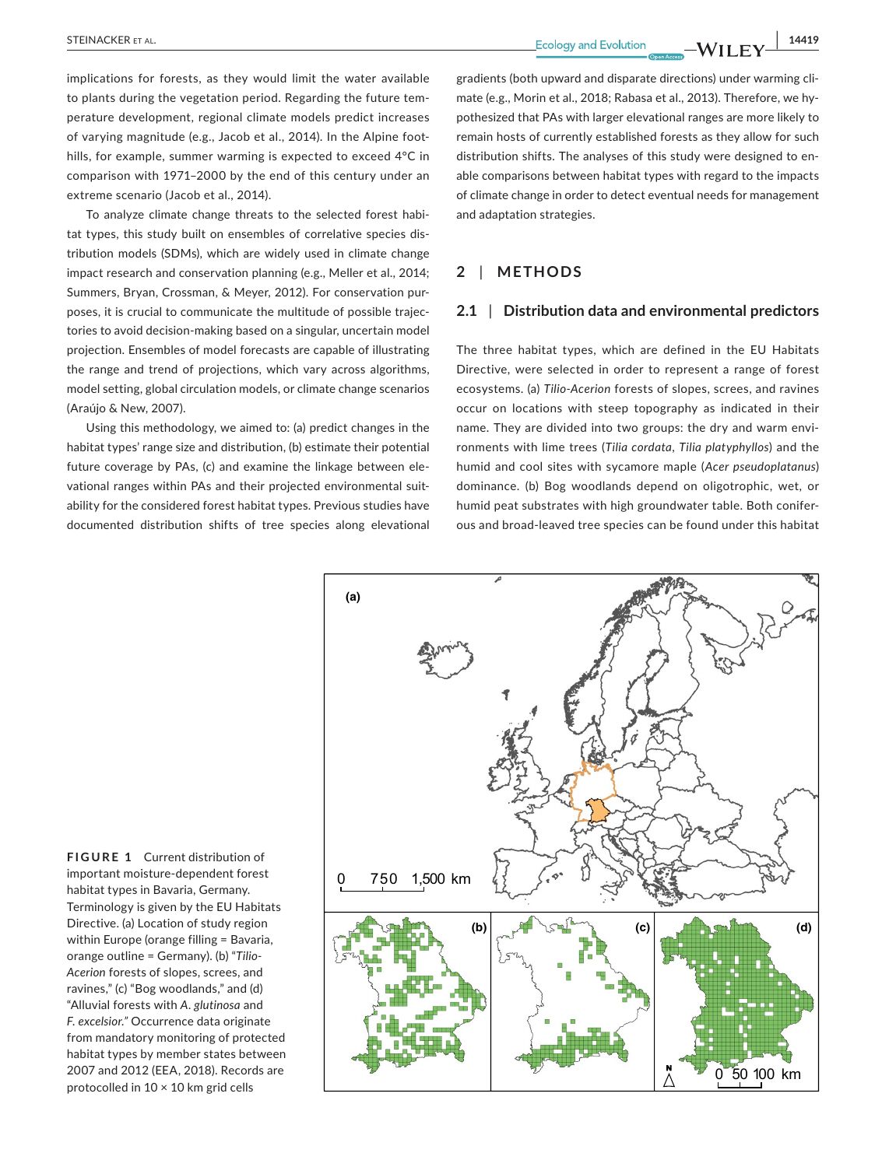**STEINACKER ET AL.** 14419

implications for forests, as they would limit the water available to plants during the vegetation period. Regarding the future temperature development, regional climate models predict increases of varying magnitude (e.g., Jacob et al., 2014). In the Alpine foothills, for example, summer warming is expected to exceed 4°C in comparison with 1971–2000 by the end of this century under an extreme scenario (Jacob et al., 2014).

To analyze climate change threats to the selected forest habitat types, this study built on ensembles of correlative species distribution models (SDMs), which are widely used in climate change impact research and conservation planning (e.g., Meller et al., 2014; Summers, Bryan, Crossman, & Meyer, 2012). For conservation purposes, it is crucial to communicate the multitude of possible trajectories to avoid decision-making based on a singular, uncertain model projection. Ensembles of model forecasts are capable of illustrating the range and trend of projections, which vary across algorithms, model setting, global circulation models, or climate change scenarios (Araújo & New, 2007).

Using this methodology, we aimed to: (a) predict changes in the habitat types' range size and distribution, (b) estimate their potential future coverage by PAs, (c) and examine the linkage between elevational ranges within PAs and their projected environmental suitability for the considered forest habitat types. Previous studies have documented distribution shifts of tree species along elevational

gradients (both upward and disparate directions) under warming climate (e.g., Morin et al., 2018; Rabasa et al., 2013). Therefore, we hypothesized that PAs with larger elevational ranges are more likely to remain hosts of currently established forests as they allow for such distribution shifts. The analyses of this study were designed to enable comparisons between habitat types with regard to the impacts of climate change in order to detect eventual needs for management and adaptation strategies.

### **2** | **METHODS**

#### **2.1** | **Distribution data and environmental predictors**

The three habitat types, which are defined in the EU Habitats Directive, were selected in order to represent a range of forest ecosystems. (a) *Tilio-Acerion* forests of slopes, screes, and ravines occur on locations with steep topography as indicated in their name. They are divided into two groups: the dry and warm environments with lime trees (*Tilia cordata*, *Tilia platyphyllos*) and the humid and cool sites with sycamore maple (*Acer pseudoplatanus*) dominance. (b) Bog woodlands depend on oligotrophic, wet, or humid peat substrates with high groundwater table. Both coniferous and broad-leaved tree species can be found under this habitat

**(b) (c) (d)** 0 50 100 km 0 750 1,500 km **(a)**

**FIGURE 1** Current distribution of important moisture-dependent forest habitat types in Bavaria, Germany. Terminology is given by the EU Habitats Directive. (a) Location of study region within Europe (orange filling = Bavaria, orange outline = Germany). (b) "*Tilio-Acerion* forests of slopes, screes, and ravines," (c) "Bog woodlands," and (d) "Alluvial forests with *A. glutinosa* and *F. excelsior."* Occurrence data originate from mandatory monitoring of protected habitat types by member states between 2007 and 2012 (EEA, 2018). Records are protocolled in  $10 \times 10$  km grid cells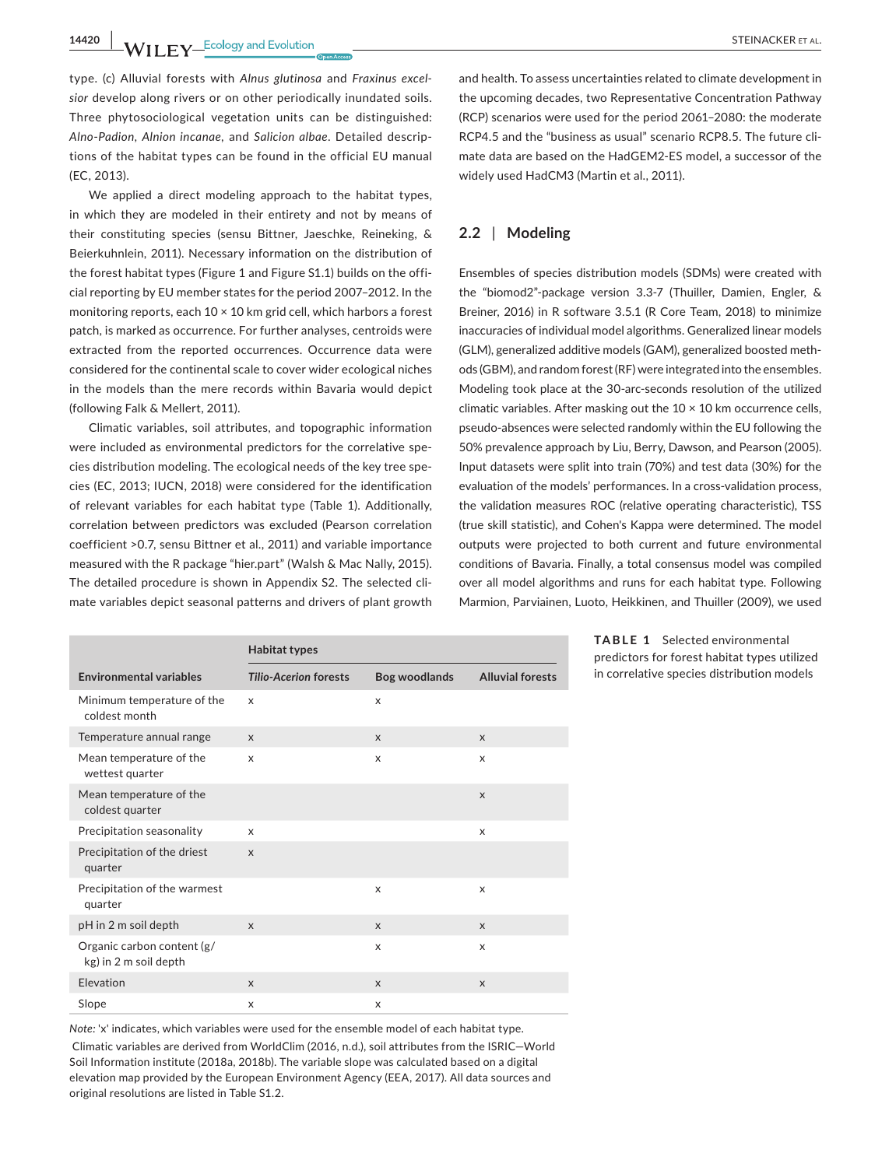**14420 WII FY** Ecology and Evolution **CONSUMPTER ALL CONSUMPTER ALL CONSUMPTER ALL CONSUMPTER ALL** 

type. (c) Alluvial forests with *Alnus glutinosa* and *Fraxinus excelsior* develop along rivers or on other periodically inundated soils. Three phytosociological vegetation units can be distinguished: *Alno*-*Padion*, *Alnion incanae,* and *Salicion albae*. Detailed descriptions of the habitat types can be found in the official EU manual (EC, 2013).

We applied a direct modeling approach to the habitat types, in which they are modeled in their entirety and not by means of their constituting species (sensu Bittner, Jaeschke, Reineking, & Beierkuhnlein, 2011). Necessary information on the distribution of the forest habitat types (Figure 1 and Figure S1.1) builds on the official reporting by EU member states for the period 2007–2012. In the monitoring reports, each  $10 \times 10$  km grid cell, which harbors a forest patch, is marked as occurrence. For further analyses, centroids were extracted from the reported occurrences. Occurrence data were considered for the continental scale to cover wider ecological niches in the models than the mere records within Bavaria would depict (following Falk & Mellert, 2011).

Climatic variables, soil attributes, and topographic information were included as environmental predictors for the correlative species distribution modeling. The ecological needs of the key tree species (EC, 2013; IUCN, 2018) were considered for the identification of relevant variables for each habitat type (Table 1). Additionally, correlation between predictors was excluded (Pearson correlation coefficient >0.7, sensu Bittner et al., 2011) and variable importance measured with the R package "hier.part" (Walsh & Mac Nally, 2015). The detailed procedure is shown in Appendix S2. The selected climate variables depict seasonal patterns and drivers of plant growth

|                                                     | <b>Habitat types</b>         |                      |                         |
|-----------------------------------------------------|------------------------------|----------------------|-------------------------|
| <b>Environmental variables</b>                      | <b>Tilio-Acerion forests</b> | <b>Bog woodlands</b> | <b>Alluvial forests</b> |
| Minimum temperature of the<br>coldest month         | x                            | X                    |                         |
| Temperature annual range                            | $\mathsf{x}$                 | $\mathsf{x}$         | X                       |
| Mean temperature of the<br>wettest quarter          | $\times$                     | X                    | x                       |
| Mean temperature of the<br>coldest quarter          |                              |                      | $\mathsf{x}$            |
| Precipitation seasonality                           | X                            |                      | X                       |
| Precipitation of the driest<br>quarter              | $\mathsf{x}$                 |                      |                         |
| Precipitation of the warmest<br>quarter             |                              | X                    | X                       |
| pH in 2 m soil depth                                | $\mathsf{x}$                 | $\mathsf{x}$         | X                       |
| Organic carbon content (g/<br>kg) in 2 m soil depth |                              | X                    | X                       |
| Elevation                                           | $\mathsf{x}$                 | $\mathsf{x}$         | X                       |
| Slope                                               | X                            | X                    |                         |

*Note:* 'x' indicates, which variables were used for the ensemble model of each habitat type. Climatic variables are derived from WorldClim (2016, n.d.), soil attributes from the ISRIC—World Soil Information institute (2018a, 2018b). The variable slope was calculated based on a digital elevation map provided by the European Environment Agency (EEA, 2017). All data sources and original resolutions are listed in Table S1.2.

and health. To assess uncertainties related to climate development in the upcoming decades, two Representative Concentration Pathway (RCP) scenarios were used for the period 2061–2080: the moderate RCP4.5 and the "business as usual" scenario RCP8.5. The future climate data are based on the HadGEM2-ES model, a successor of the widely used HadCM3 (Martin et al., 2011).

# **2.2** | **Modeling**

Ensembles of species distribution models (SDMs) were created with the "biomod2"-package version 3.3-7 (Thuiller, Damien, Engler, & Breiner, 2016) in R software 3.5.1 (R Core Team, 2018) to minimize inaccuracies of individual model algorithms. Generalized linear models (GLM), generalized additive models (GAM), generalized boosted methods (GBM), and random forest (RF) were integrated into the ensembles. Modeling took place at the 30-arc-seconds resolution of the utilized climatic variables. After masking out the  $10 \times 10$  km occurrence cells, pseudo-absences were selected randomly within the EU following the 50% prevalence approach by Liu, Berry, Dawson, and Pearson (2005). Input datasets were split into train (70%) and test data (30%) for the evaluation of the models' performances. In a cross-validation process, the validation measures ROC (relative operating characteristic), TSS (true skill statistic), and Cohen's Kappa were determined. The model outputs were projected to both current and future environmental conditions of Bavaria. Finally, a total consensus model was compiled over all model algorithms and runs for each habitat type. Following Marmion, Parviainen, Luoto, Heikkinen, and Thuiller (2009), we used

> **TABLE 1** Selected environmental predictors for forest habitat types utilized in correlative species distribution models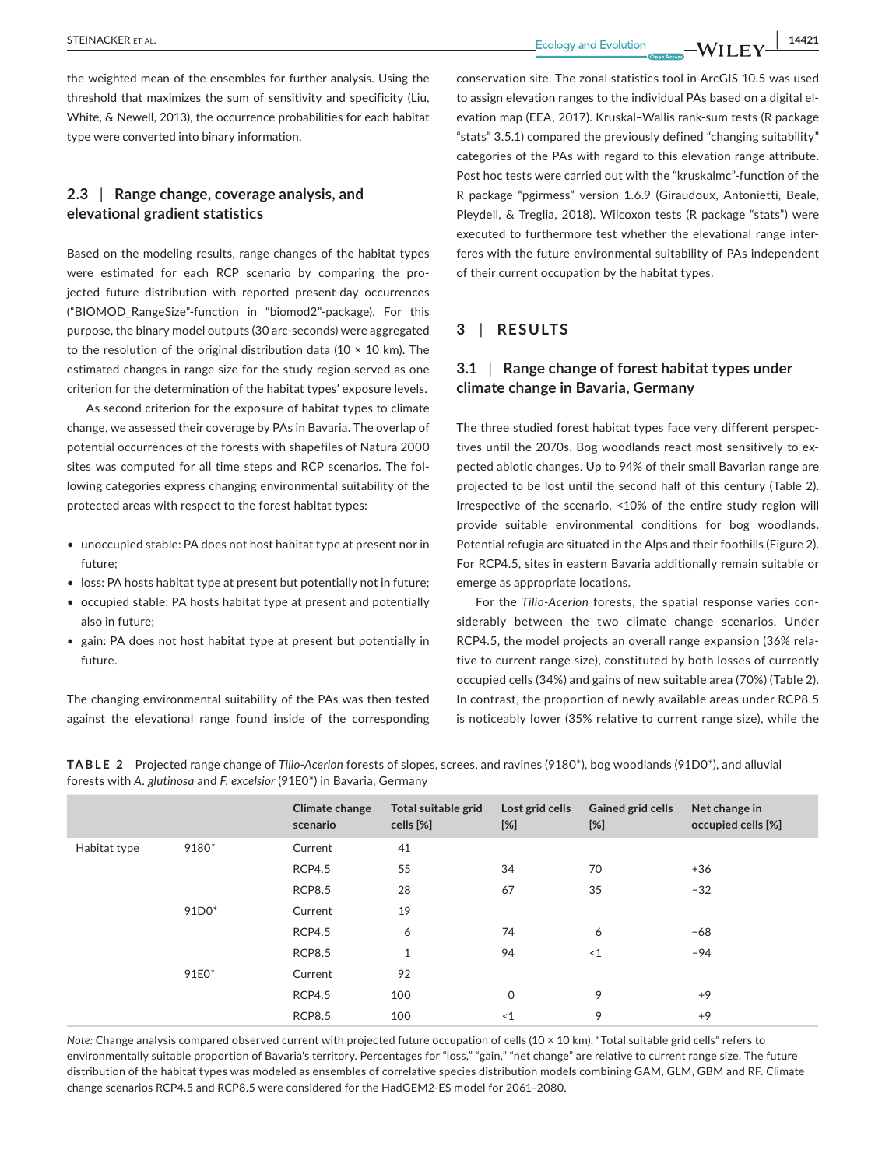the weighted mean of the ensembles for further analysis. Using the threshold that maximizes the sum of sensitivity and specificity (Liu, White, & Newell, 2013), the occurrence probabilities for each habitat type were converted into binary information.

# **2.3** | **Range change, coverage analysis, and elevational gradient statistics**

Based on the modeling results, range changes of the habitat types were estimated for each RCP scenario by comparing the projected future distribution with reported present-day occurrences ("BIOMOD\_RangeSize"-function in "biomod2"-package). For this purpose, the binary model outputs (30 arc-seconds) were aggregated to the resolution of the original distribution data (10  $\times$  10 km). The estimated changes in range size for the study region served as one criterion for the determination of the habitat types' exposure levels.

As second criterion for the exposure of habitat types to climate change, we assessed their coverage by PAs in Bavaria. The overlap of potential occurrences of the forests with shapefiles of Natura 2000 sites was computed for all time steps and RCP scenarios. The following categories express changing environmental suitability of the protected areas with respect to the forest habitat types:

- unoccupied stable: PA does not host habitat type at present nor in future;
- loss: PA hosts habitat type at present but potentially not in future;
- occupied stable: PA hosts habitat type at present and potentially also in future;
- gain: PA does not host habitat type at present but potentially in future.

The changing environmental suitability of the PAs was then tested against the elevational range found inside of the corresponding conservation site. The zonal statistics tool in ArcGIS 10.5 was used to assign elevation ranges to the individual PAs based on a digital elevation map (EEA, 2017). Kruskal–Wallis rank-sum tests (R package "stats" 3.5.1) compared the previously defined "changing suitability" categories of the PAs with regard to this elevation range attribute. Post hoc tests were carried out with the "kruskalmc"-function of the R package "pgirmess" version 1.6.9 (Giraudoux, Antonietti, Beale, Pleydell, & Treglia, 2018). Wilcoxon tests (R package "stats") were executed to furthermore test whether the elevational range interferes with the future environmental suitability of PAs independent of their current occupation by the habitat types.

# **3** | **RESULTS**

# **3.1** | **Range change of forest habitat types under climate change in Bavaria, Germany**

The three studied forest habitat types face very different perspectives until the 2070s. Bog woodlands react most sensitively to expected abiotic changes. Up to 94% of their small Bavarian range are projected to be lost until the second half of this century (Table 2). Irrespective of the scenario, <10% of the entire study region will provide suitable environmental conditions for bog woodlands. Potential refugia are situated in the Alps and their foothills (Figure 2). For RCP4.5, sites in eastern Bavaria additionally remain suitable or emerge as appropriate locations.

For the *Tilio-Acerion* forests, the spatial response varies considerably between the two climate change scenarios. Under RCP4.5, the model projects an overall range expansion (36% relative to current range size), constituted by both losses of currently occupied cells (34%) and gains of new suitable area (70%) (Table 2). In contrast, the proportion of newly available areas under RCP8.5 is noticeably lower (35% relative to current range size), while the

|              |       | Climate change<br>scenario | Total suitable grid<br>cells [%] | Lost grid cells<br>$[\%]$ | Gained grid cells<br>$[\%]$ | Net change in<br>occupied cells [%] |
|--------------|-------|----------------------------|----------------------------------|---------------------------|-----------------------------|-------------------------------------|
| Habitat type | 9180* | Current                    | 41                               |                           |                             |                                     |
|              |       | <b>RCP4.5</b>              | 55                               | 34                        | 70                          | $+36$                               |
|              |       | <b>RCP8.5</b>              | 28                               | 67                        | 35                          | $-32$                               |
|              | 91D0* | Current                    | 19                               |                           |                             |                                     |
|              |       | <b>RCP4.5</b>              | 6                                | 74                        | 6                           | $-68$                               |
|              |       | <b>RCP8.5</b>              | 1                                | 94                        | ~1                          | $-94$                               |
|              | 91E0* | Current                    | 92                               |                           |                             |                                     |
|              |       | <b>RCP4.5</b>              | 100                              | $\mathsf{O}\xspace$       | 9                           | $+9$                                |
|              |       | <b>RCP8.5</b>              | 100                              | ~1                        | 9                           | $+9$                                |
|              |       |                            |                                  |                           |                             |                                     |

**TABLE 2** Projected range change of *Tilio-Acerion* forests of slopes, screes, and ravines (9180\*), bog woodlands (91D0\*), and alluvial forests with *A. glutinosa* and *F. excelsior* (91E0\*) in Bavaria, Germany

*Note:* Change analysis compared observed current with projected future occupation of cells (10 × 10 km). "Total suitable grid cells" refers to environmentally suitable proportion of Bavaria's territory. Percentages for "loss," "gain," "net change" are relative to current range size. The future distribution of the habitat types was modeled as ensembles of correlative species distribution models combining GAM, GLM, GBM and RF. Climate change scenarios RCP4.5 and RCP8.5 were considered for the HadGEM2-ES model for 2061–2080.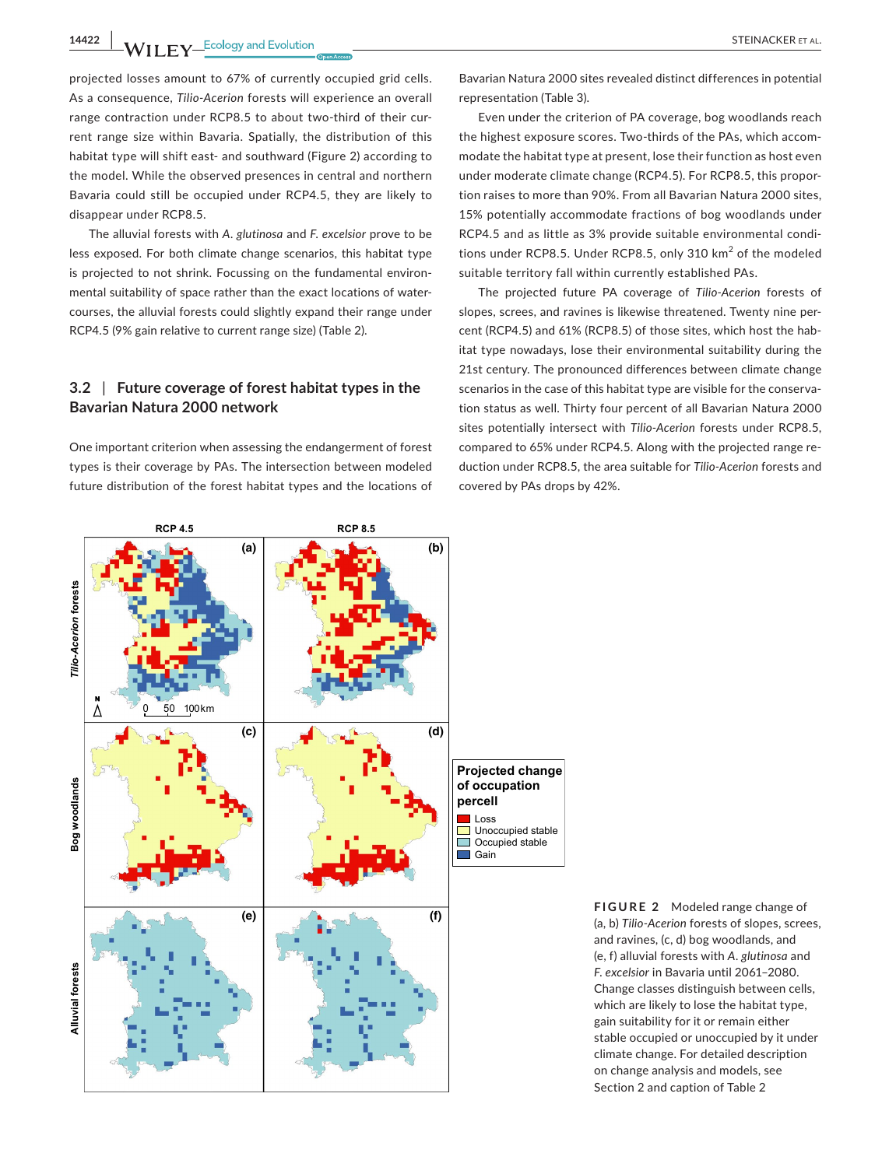**14422 |**  STEINACKER et al.

projected losses amount to 67% of currently occupied grid cells. As a consequence, *Tilio-Acerion* forests will experience an overall range contraction under RCP8.5 to about two-third of their current range size within Bavaria. Spatially, the distribution of this habitat type will shift east- and southward (Figure 2) according to the model. While the observed presences in central and northern Bavaria could still be occupied under RCP4.5, they are likely to disappear under RCP8.5.

The alluvial forests with *A. glutinosa* and *F. excelsior* prove to be less exposed. For both climate change scenarios, this habitat type is projected to not shrink. Focussing on the fundamental environmental suitability of space rather than the exact locations of watercourses, the alluvial forests could slightly expand their range under RCP4.5 (9% gain relative to current range size) (Table 2).

# **3.2** | **Future coverage of forest habitat types in the Bavarian Natura 2000 network**

One important criterion when assessing the endangerment of forest types is their coverage by PAs. The intersection between modeled future distribution of the forest habitat types and the locations of

Bavarian Natura 2000 sites revealed distinct differences in potential representation (Table 3).

Even under the criterion of PA coverage, bog woodlands reach the highest exposure scores. Two-thirds of the PAs, which accommodate the habitat type at present, lose their function as host even under moderate climate change (RCP4.5). For RCP8.5, this proportion raises to more than 90%. From all Bavarian Natura 2000 sites, 15% potentially accommodate fractions of bog woodlands under RCP4.5 and as little as 3% provide suitable environmental conditions under RCP8.5. Under RCP8.5, only 310 km<sup>2</sup> of the modeled suitable territory fall within currently established PAs.

The projected future PA coverage of *Tilio-Acerion* forests of slopes, screes, and ravines is likewise threatened. Twenty nine percent (RCP4.5) and 61% (RCP8.5) of those sites, which host the habitat type nowadays, lose their environmental suitability during the 21st century. The pronounced differences between climate change scenarios in the case of this habitat type are visible for the conservation status as well. Thirty four percent of all Bavarian Natura 2000 sites potentially intersect with *Tilio-Acerion* forests under RCP8.5, compared to 65% under RCP4.5. Along with the projected range reduction under RCP8.5, the area suitable for *Tilio-Acerion* forests and covered by PAs drops by 42%.



**FIGURE 2** Modeled range change of (a, b) *Tilio-Acerion* forests of slopes, screes, and ravines, (c, d) bog woodlands, and (e, f) alluvial forests with *A. glutinosa* and *F. excelsior* in Bavaria until 2061–2080. Change classes distinguish between cells, which are likely to lose the habitat type, gain suitability for it or remain either stable occupied or unoccupied by it under climate change. For detailed description on change analysis and models, see Section 2 and caption of Table 2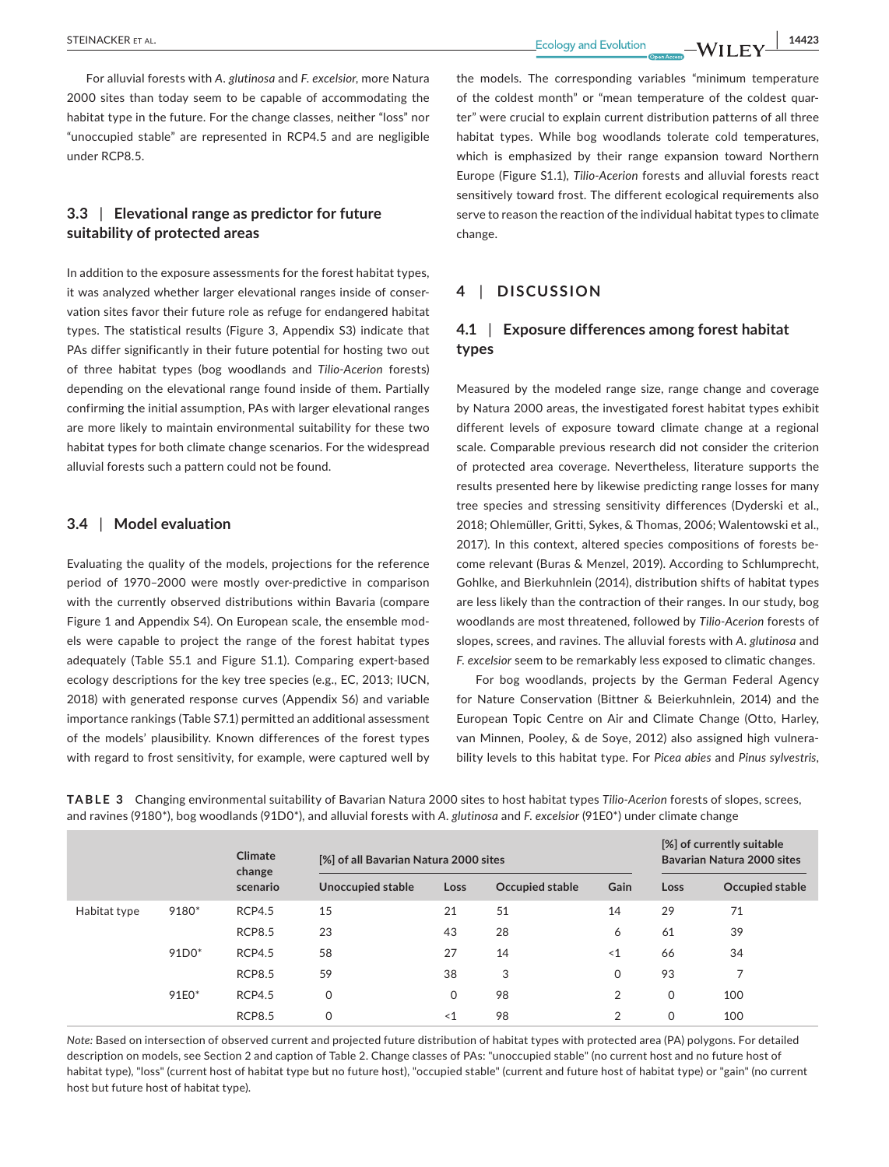**Ecology and Evolution 14423** 

For alluvial forests with *A. glutinosa* and *F. excelsior*, more Natura 2000 sites than today seem to be capable of accommodating the habitat type in the future. For the change classes, neither "loss" nor "unoccupied stable" are represented in RCP4.5 and are negligible under RCP8.5.

# **3.3** | **Elevational range as predictor for future suitability of protected areas**

In addition to the exposure assessments for the forest habitat types, it was analyzed whether larger elevational ranges inside of conservation sites favor their future role as refuge for endangered habitat types. The statistical results (Figure 3, Appendix S3) indicate that PAs differ significantly in their future potential for hosting two out of three habitat types (bog woodlands and *Tilio-Acerion* forests) depending on the elevational range found inside of them. Partially confirming the initial assumption, PAs with larger elevational ranges are more likely to maintain environmental suitability for these two habitat types for both climate change scenarios. For the widespread alluvial forests such a pattern could not be found.

#### **3.4** | **Model evaluation**

Evaluating the quality of the models, projections for the reference period of 1970–2000 were mostly over-predictive in comparison with the currently observed distributions within Bavaria (compare Figure 1 and Appendix S4). On European scale, the ensemble models were capable to project the range of the forest habitat types adequately (Table S5.1 and Figure S1.1). Comparing expert-based ecology descriptions for the key tree species (e.g., EC, 2013; IUCN, 2018) with generated response curves (Appendix S6) and variable importance rankings (Table S7.1) permitted an additional assessment of the models' plausibility. Known differences of the forest types with regard to frost sensitivity, for example, were captured well by

the models. The corresponding variables "minimum temperature of the coldest month" or "mean temperature of the coldest quarter" were crucial to explain current distribution patterns of all three habitat types. While bog woodlands tolerate cold temperatures, which is emphasized by their range expansion toward Northern Europe (Figure S1.1), *Tilio-Acerion* forests and alluvial forests react sensitively toward frost. The different ecological requirements also serve to reason the reaction of the individual habitat types to climate change.

# **4** | **DISCUSSION**

# **4.1** | **Exposure differences among forest habitat types**

Measured by the modeled range size, range change and coverage by Natura 2000 areas, the investigated forest habitat types exhibit different levels of exposure toward climate change at a regional scale. Comparable previous research did not consider the criterion of protected area coverage. Nevertheless, literature supports the results presented here by likewise predicting range losses for many tree species and stressing sensitivity differences (Dyderski et al., 2018; Ohlemüller, Gritti, Sykes, & Thomas, 2006; Walentowski et al., 2017). In this context, altered species compositions of forests become relevant (Buras & Menzel, 2019). According to Schlumprecht, Gohlke, and Bierkuhnlein (2014), distribution shifts of habitat types are less likely than the contraction of their ranges. In our study, bog woodlands are most threatened, followed by *Tilio-Acerion* forests of slopes, screes, and ravines. The alluvial forests with *A. glutinosa* and *F. excelsior* seem to be remarkably less exposed to climatic changes.

For bog woodlands, projects by the German Federal Agency for Nature Conservation (Bittner & Beierkuhnlein, 2014) and the European Topic Centre on Air and Climate Change (Otto, Harley, van Minnen, Pooley, & de Soye, 2012) also assigned high vulnerability levels to this habitat type. For *Picea abies* and *Pinus sylvestris*,

**TABLE 3** Changing environmental suitability of Bavarian Natura 2000 sites to host habitat types *Tilio-Acerion* forests of slopes, screes, and ravines (9180\*), bog woodlands (91D0\*), and alluvial forests with *A. glutinosa* and *F. excelsior* (91E0\*) under climate change

|              |         | Climate<br>change<br>scenario | [%] of all Bavarian Natura 2000 sites |          |                 | [%] of currently suitable<br>Bavarian Natura 2000 sites |             |                 |
|--------------|---------|-------------------------------|---------------------------------------|----------|-----------------|---------------------------------------------------------|-------------|-----------------|
|              |         |                               | Unoccupied stable                     | Loss     | Occupied stable | Gain                                                    | Loss        | Occupied stable |
| Habitat type | 9180*   | <b>RCP4.5</b>                 | 15                                    | 21       | 51              | 14                                                      | 29          | 71              |
|              |         | <b>RCP8.5</b>                 | 23                                    | 43       | 28              | 6                                                       | 61          | 39              |
|              | $91D0*$ | <b>RCP4.5</b>                 | 58                                    | 27       | 14              | $\leq 1$                                                | 66          | 34              |
|              |         | <b>RCP8.5</b>                 | 59                                    | 38       | 3               | 0                                                       | 93          | $\overline{ }$  |
|              | 91E0*   | <b>RCP4.5</b>                 | $\mathbf 0$                           | 0        | 98              | 2                                                       | $\mathbf 0$ | 100             |
|              |         | <b>RCP8.5</b>                 | 0                                     | $\leq$ 1 | 98              | $\overline{2}$                                          | $\Omega$    | 100             |

*Note:* Based on intersection of observed current and projected future distribution of habitat types with protected area (PA) polygons. For detailed description on models, see Section 2 and caption of Table 2. Change classes of PAs: "unoccupied stable" (no current host and no future host of habitat type), "loss" (current host of habitat type but no future host), "occupied stable" (current and future host of habitat type) or "gain" (no current host but future host of habitat type).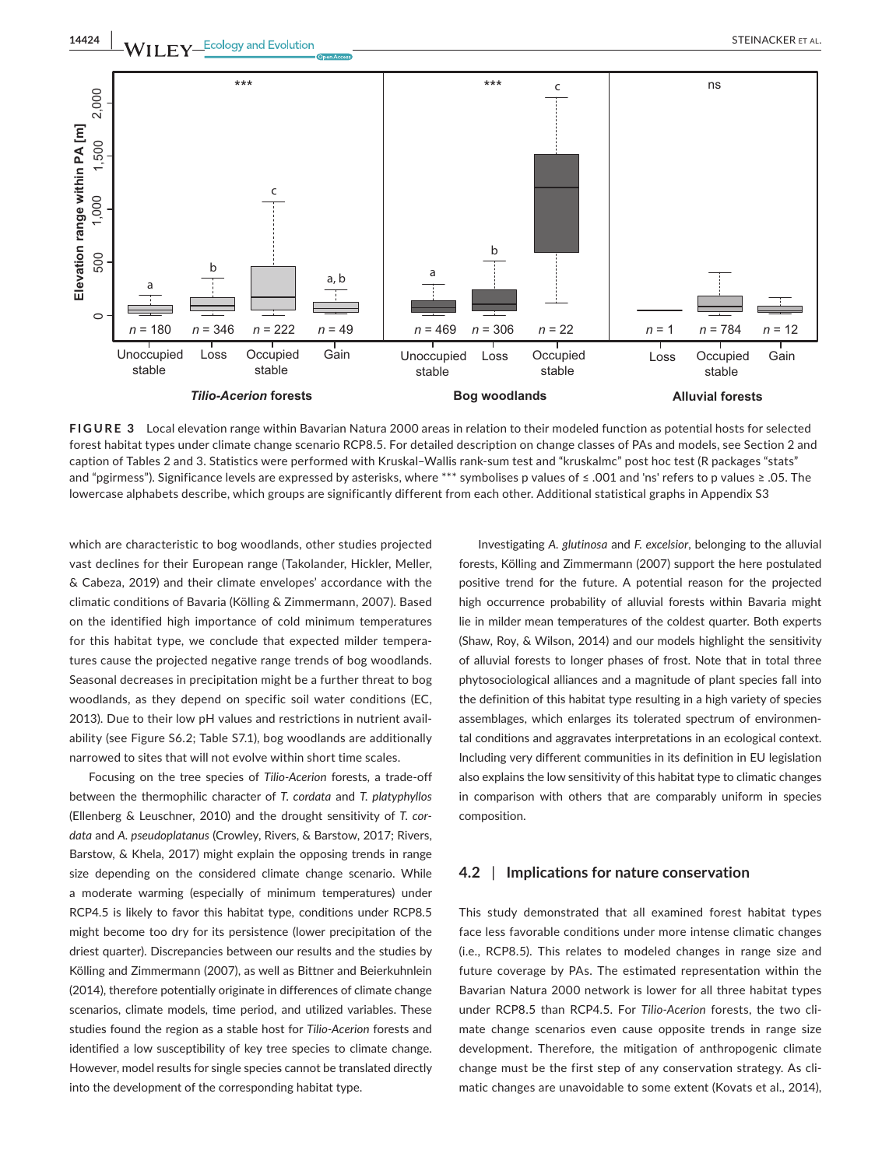**14424 |**  STEINACKER et al.



**FIGURE 3** Local elevation range within Bavarian Natura 2000 areas in relation to their modeled function as potential hosts for selected forest habitat types under climate change scenario RCP8.5. For detailed description on change classes of PAs and models, see Section 2 and caption of Tables 2 and 3. Statistics were performed with Kruskal–Wallis rank-sum test and "kruskalmc" post hoc test (R packages "stats" and "pgirmess"). Significance levels are expressed by asterisks, where \*\*\* symbolises p values of ≤ .001 and 'ns' refers to p values ≥ .05. The lowercase alphabets describe, which groups are significantly different from each other. Additional statistical graphs in Appendix S3

which are characteristic to bog woodlands, other studies projected vast declines for their European range (Takolander, Hickler, Meller, & Cabeza, 2019) and their climate envelopes' accordance with the climatic conditions of Bavaria (Kölling & Zimmermann, 2007). Based on the identified high importance of cold minimum temperatures for this habitat type, we conclude that expected milder temperatures cause the projected negative range trends of bog woodlands. Seasonal decreases in precipitation might be a further threat to bog woodlands, as they depend on specific soil water conditions (EC, 2013). Due to their low pH values and restrictions in nutrient availability (see Figure S6.2; Table S7.1), bog woodlands are additionally narrowed to sites that will not evolve within short time scales.

Focusing on the tree species of *Tilio-Acerion* forests, a trade-off between the thermophilic character of *T. cordata* and *T. platyphyllos* (Ellenberg & Leuschner, 2010) and the drought sensitivity of *T. cordata* and *A. pseudoplatanus* (Crowley, Rivers, & Barstow, 2017; Rivers, Barstow, & Khela, 2017) might explain the opposing trends in range size depending on the considered climate change scenario. While a moderate warming (especially of minimum temperatures) under RCP4.5 is likely to favor this habitat type, conditions under RCP8.5 might become too dry for its persistence (lower precipitation of the driest quarter). Discrepancies between our results and the studies by Kölling and Zimmermann (2007), as well as Bittner and Beierkuhnlein (2014), therefore potentially originate in differences of climate change scenarios, climate models, time period, and utilized variables. These studies found the region as a stable host for *Tilio-Acerion* forests and identified a low susceptibility of key tree species to climate change. However, model results for single species cannot be translated directly into the development of the corresponding habitat type.

Investigating *A. glutinosa* and *F. excelsior*, belonging to the alluvial forests, Kölling and Zimmermann (2007) support the here postulated positive trend for the future. A potential reason for the projected high occurrence probability of alluvial forests within Bavaria might lie in milder mean temperatures of the coldest quarter. Both experts (Shaw, Roy, & Wilson, 2014) and our models highlight the sensitivity of alluvial forests to longer phases of frost. Note that in total three phytosociological alliances and a magnitude of plant species fall into the definition of this habitat type resulting in a high variety of species assemblages, which enlarges its tolerated spectrum of environmental conditions and aggravates interpretations in an ecological context. Including very different communities in its definition in EU legislation also explains the low sensitivity of this habitat type to climatic changes in comparison with others that are comparably uniform in species composition.

#### **4.2** | **Implications for nature conservation**

This study demonstrated that all examined forest habitat types face less favorable conditions under more intense climatic changes (i.e., RCP8.5). This relates to modeled changes in range size and future coverage by PAs. The estimated representation within the Bavarian Natura 2000 network is lower for all three habitat types under RCP8.5 than RCP4.5. For *Tilio-Acerion* forests, the two climate change scenarios even cause opposite trends in range size development. Therefore, the mitigation of anthropogenic climate change must be the first step of any conservation strategy. As climatic changes are unavoidable to some extent (Kovats et al., 2014),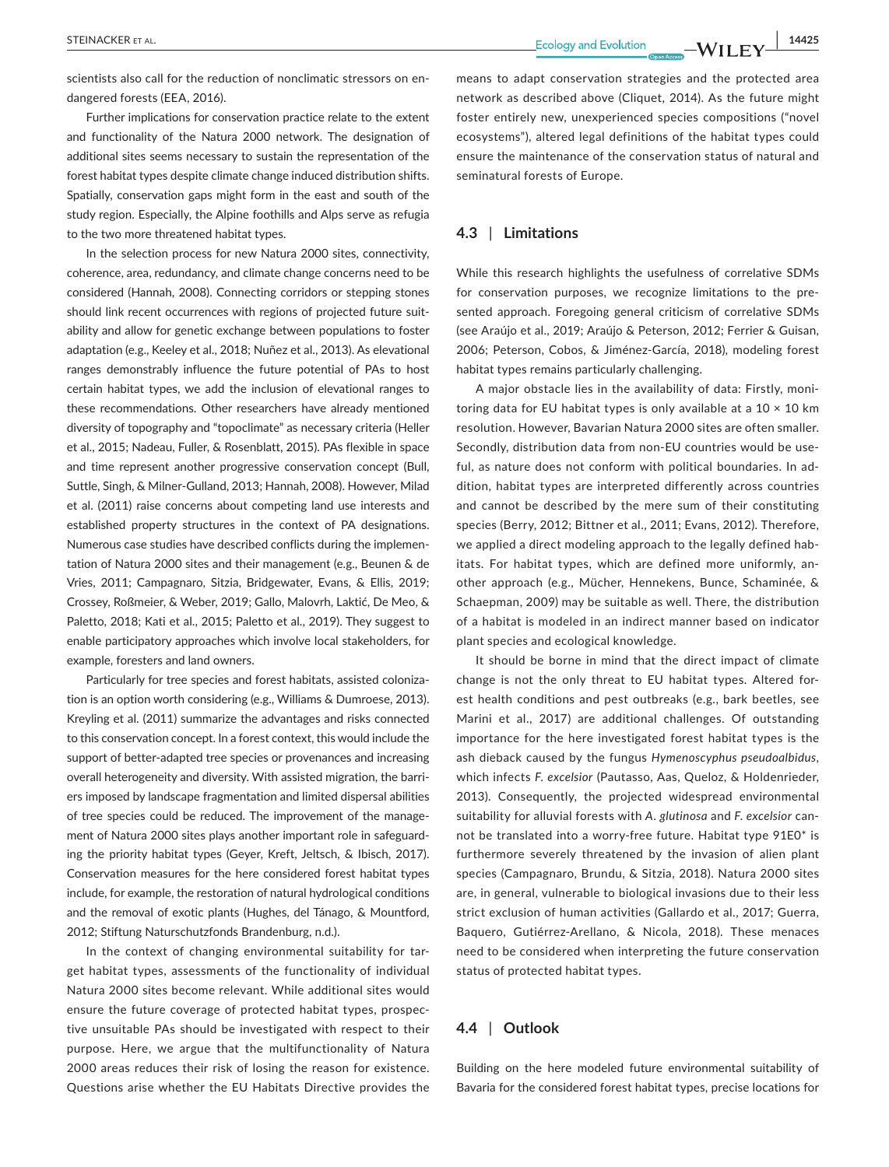**STEINACKER ET AL.** 14425

scientists also call for the reduction of nonclimatic stressors on endangered forests (EEA, 2016).

Further implications for conservation practice relate to the extent and functionality of the Natura 2000 network. The designation of additional sites seems necessary to sustain the representation of the forest habitat types despite climate change induced distribution shifts. Spatially, conservation gaps might form in the east and south of the study region. Especially, the Alpine foothills and Alps serve as refugia to the two more threatened habitat types.

In the selection process for new Natura 2000 sites, connectivity, coherence, area, redundancy, and climate change concerns need to be considered (Hannah, 2008). Connecting corridors or stepping stones should link recent occurrences with regions of projected future suitability and allow for genetic exchange between populations to foster adaptation (e.g., Keeley et al., 2018; Nuñez et al., 2013). As elevational ranges demonstrably influence the future potential of PAs to host certain habitat types, we add the inclusion of elevational ranges to these recommendations. Other researchers have already mentioned diversity of topography and "topoclimate" as necessary criteria (Heller et al., 2015; Nadeau, Fuller, & Rosenblatt, 2015). PAs flexible in space and time represent another progressive conservation concept (Bull, Suttle, Singh, & Milner-Gulland, 2013; Hannah, 2008). However, Milad et al. (2011) raise concerns about competing land use interests and established property structures in the context of PA designations. Numerous case studies have described conflicts during the implementation of Natura 2000 sites and their management (e.g., Beunen & de Vries, 2011; Campagnaro, Sitzia, Bridgewater, Evans, & Ellis, 2019; Crossey, Roßmeier, & Weber, 2019; Gallo, Malovrh, Laktić, De Meo, & Paletto, 2018; Kati et al., 2015; Paletto et al., 2019). They suggest to enable participatory approaches which involve local stakeholders, for example, foresters and land owners.

Particularly for tree species and forest habitats, assisted colonization is an option worth considering (e.g., Williams & Dumroese, 2013). Kreyling et al. (2011) summarize the advantages and risks connected to this conservation concept. In a forest context, this would include the support of better-adapted tree species or provenances and increasing overall heterogeneity and diversity. With assisted migration, the barriers imposed by landscape fragmentation and limited dispersal abilities of tree species could be reduced. The improvement of the management of Natura 2000 sites plays another important role in safeguarding the priority habitat types (Geyer, Kreft, Jeltsch, & Ibisch, 2017). Conservation measures for the here considered forest habitat types include, for example, the restoration of natural hydrological conditions and the removal of exotic plants (Hughes, del Tánago, & Mountford, 2012; Stiftung Naturschutzfonds Brandenburg, n.d.).

In the context of changing environmental suitability for target habitat types, assessments of the functionality of individual Natura 2000 sites become relevant. While additional sites would ensure the future coverage of protected habitat types, prospective unsuitable PAs should be investigated with respect to their purpose. Here, we argue that the multifunctionality of Natura 2000 areas reduces their risk of losing the reason for existence. Questions arise whether the EU Habitats Directive provides the

means to adapt conservation strategies and the protected area network as described above (Cliquet, 2014). As the future might foster entirely new, unexperienced species compositions ("novel ecosystems"), altered legal definitions of the habitat types could ensure the maintenance of the conservation status of natural and seminatural forests of Europe.

#### **4.3** | **Limitations**

While this research highlights the usefulness of correlative SDMs for conservation purposes, we recognize limitations to the presented approach. Foregoing general criticism of correlative SDMs (see Araújo et al., 2019; Araújo & Peterson, 2012; Ferrier & Guisan, 2006; Peterson, Cobos, & Jiménez-García, 2018), modeling forest habitat types remains particularly challenging.

A major obstacle lies in the availability of data: Firstly, monitoring data for EU habitat types is only available at a  $10 \times 10$  km resolution. However, Bavarian Natura 2000 sites are often smaller. Secondly, distribution data from non-EU countries would be useful, as nature does not conform with political boundaries. In addition, habitat types are interpreted differently across countries and cannot be described by the mere sum of their constituting species (Berry, 2012; Bittner et al., 2011; Evans, 2012). Therefore, we applied a direct modeling approach to the legally defined habitats. For habitat types, which are defined more uniformly, another approach (e.g., Mücher, Hennekens, Bunce, Schaminée, & Schaepman, 2009) may be suitable as well. There, the distribution of a habitat is modeled in an indirect manner based on indicator plant species and ecological knowledge.

It should be borne in mind that the direct impact of climate change is not the only threat to EU habitat types. Altered forest health conditions and pest outbreaks (e.g., bark beetles, see Marini et al., 2017) are additional challenges. Of outstanding importance for the here investigated forest habitat types is the ash dieback caused by the fungus *Hymenoscyphus pseudoalbidus*, which infects *F. excelsior* (Pautasso, Aas, Queloz, & Holdenrieder, 2013). Consequently, the projected widespread environmental suitability for alluvial forests with *A. glutinosa* and *F. excelsior* cannot be translated into a worry-free future. Habitat type 91E0\* is furthermore severely threatened by the invasion of alien plant species (Campagnaro, Brundu, & Sitzia, 2018). Natura 2000 sites are, in general, vulnerable to biological invasions due to their less strict exclusion of human activities (Gallardo et al., 2017; Guerra, Baquero, Gutiérrez-Arellano, & Nicola, 2018). These menaces need to be considered when interpreting the future conservation status of protected habitat types.

# **4.4** | **Outlook**

Building on the here modeled future environmental suitability of Bavaria for the considered forest habitat types, precise locations for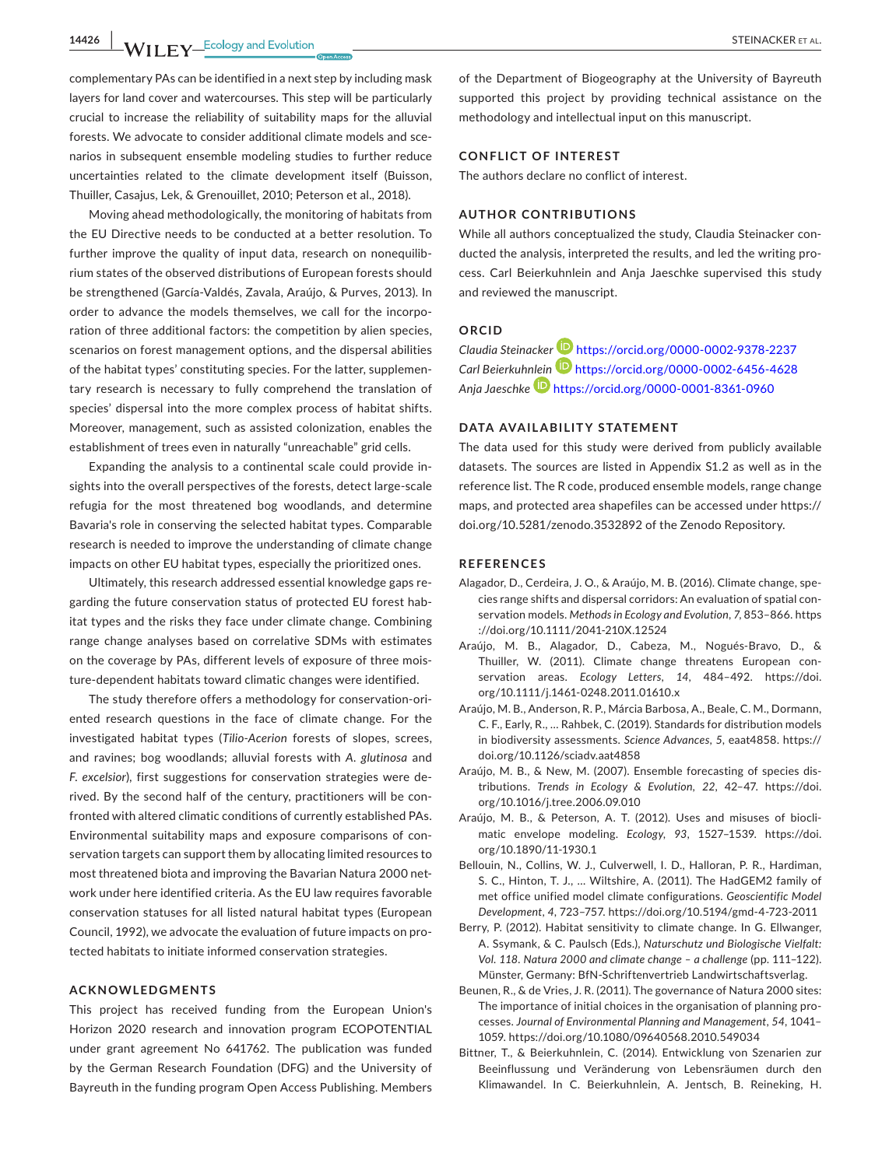**14426 WII FY** Ecology and Evolution **CONSIDER ALL CONSIDER ALL CONSIDER ALL CONSIDER ALL CONSIDER ALL** 

complementary PAs can be identified in a next step by including mask layers for land cover and watercourses. This step will be particularly crucial to increase the reliability of suitability maps for the alluvial forests. We advocate to consider additional climate models and scenarios in subsequent ensemble modeling studies to further reduce uncertainties related to the climate development itself (Buisson, Thuiller, Casajus, Lek, & Grenouillet, 2010; Peterson et al., 2018).

Moving ahead methodologically, the monitoring of habitats from the EU Directive needs to be conducted at a better resolution. To further improve the quality of input data, research on nonequilibrium states of the observed distributions of European forests should be strengthened (García-Valdés, Zavala, Araújo, & Purves, 2013). In order to advance the models themselves, we call for the incorporation of three additional factors: the competition by alien species, scenarios on forest management options, and the dispersal abilities of the habitat types' constituting species. For the latter, supplementary research is necessary to fully comprehend the translation of species' dispersal into the more complex process of habitat shifts. Moreover, management, such as assisted colonization, enables the establishment of trees even in naturally "unreachable" grid cells.

Expanding the analysis to a continental scale could provide insights into the overall perspectives of the forests, detect large-scale refugia for the most threatened bog woodlands, and determine Bavaria's role in conserving the selected habitat types. Comparable research is needed to improve the understanding of climate change impacts on other EU habitat types, especially the prioritized ones.

Ultimately, this research addressed essential knowledge gaps regarding the future conservation status of protected EU forest habitat types and the risks they face under climate change. Combining range change analyses based on correlative SDMs with estimates on the coverage by PAs, different levels of exposure of three moisture-dependent habitats toward climatic changes were identified.

The study therefore offers a methodology for conservation-oriented research questions in the face of climate change. For the investigated habitat types (*Tilio-Acerion* forests of slopes, screes, and ravines; bog woodlands; alluvial forests with *A. glutinosa* and *F. excelsior*), first suggestions for conservation strategies were derived. By the second half of the century, practitioners will be confronted with altered climatic conditions of currently established PAs. Environmental suitability maps and exposure comparisons of conservation targets can support them by allocating limited resources to most threatened biota and improving the Bavarian Natura 2000 network under here identified criteria. As the EU law requires favorable conservation statuses for all listed natural habitat types (European Council, 1992), we advocate the evaluation of future impacts on protected habitats to initiate informed conservation strategies.

#### **ACKNOWLEDGMENTS**

This project has received funding from the European Union's Horizon 2020 research and innovation program ECOPOTENTIAL under grant agreement No 641762. The publication was funded by the German Research Foundation (DFG) and the University of Bayreuth in the funding program Open Access Publishing. Members of the Department of Biogeography at the University of Bayreuth supported this project by providing technical assistance on the methodology and intellectual input on this manuscript.

#### **CONFLICT OF INTEREST**

The authors declare no conflict of interest.

#### **AUTHOR CONTRIBUTIONS**

While all authors conceptualized the study, Claudia Steinacker conducted the analysis, interpreted the results, and led the writing process. Carl Beierkuhnlein and Anja Jaeschke supervised this study and reviewed the manuscript.

#### **ORCID**

*Claudia Steinacke[r](https://orcid.org/0000-0002-6456-4628)* <https://orcid.org/0000-0002-9378-2237> *Carl Beierkuh[nlein](https://orcid.org/0000-0001-8361-0960)* <https://orcid.org/0000-0002-6456-4628> *Anja Jaeschke* <https://orcid.org/0000-0001-8361-0960>

#### **DATA AVAILABILITY STATEMENT**

The data used for this study were derived from publicly available datasets. The sources are listed in Appendix S1.2 as well as in the reference list. The R code, produced ensemble models, range change maps, and protected area shapefiles can be accessed under [https://](https://doi.org/10.5281/zenodo.3532892) [doi.org/10.5281/zenodo.3532892](https://doi.org/10.5281/zenodo.3532892) of the Zenodo Repository.

#### **REFERENCES**

- Alagador, D., Cerdeira, J. O., & Araújo, M. B. (2016). Climate change, species range shifts and dispersal corridors: An evaluation of spatial conservation models. *Methods in Ecology and Evolution*, *7*, 853–866. [https](https://doi.org/10.1111/2041-210X.12524) [://doi.org/10.1111/2041-210X.12524](https://doi.org/10.1111/2041-210X.12524)
- Araújo, M. B., Alagador, D., Cabeza, M., Nogués-Bravo, D., & Thuiller, W. (2011). Climate change threatens European conservation areas. *Ecology Letters*, *14*, 484–492. [https://doi.](https://doi.org/10.1111/j.1461-0248.2011.01610.x) [org/10.1111/j.1461-0248.2011.01610.x](https://doi.org/10.1111/j.1461-0248.2011.01610.x)
- Araújo, M. B., Anderson, R. P., Márcia Barbosa, A., Beale, C. M., Dormann, C. F., Early, R., … Rahbek, C. (2019). Standards for distribution models in biodiversity assessments. *Science Advances*, *5*, eaat4858. [https://](https://doi.org/10.1126/sciadv.aat4858) [doi.org/10.1126/sciadv.aat4858](https://doi.org/10.1126/sciadv.aat4858)
- Araújo, M. B., & New, M. (2007). Ensemble forecasting of species distributions. *Trends in Ecology & Evolution*, *22*, 42–47. [https://doi.](https://doi.org/10.1016/j.tree.2006.09.010) [org/10.1016/j.tree.2006.09.010](https://doi.org/10.1016/j.tree.2006.09.010)
- Araújo, M. B., & Peterson, A. T. (2012). Uses and misuses of bioclimatic envelope modeling. *Ecology*, *93*, 1527–1539. [https://doi.](https://doi.org/10.1890/11-1930.1) [org/10.1890/11-1930.1](https://doi.org/10.1890/11-1930.1)
- Bellouin, N., Collins, W. J., Culverwell, I. D., Halloran, P. R., Hardiman, S. C., Hinton, T. J., … Wiltshire, A. (2011). The HadGEM2 family of met office unified model climate configurations. *Geoscientific Model Development*, *4*, 723–757. <https://doi.org/10.5194/gmd-4-723-2011>
- Berry, P. (2012). Habitat sensitivity to climate change. In G. Ellwanger, A. Ssymank, & C. Paulsch (Eds.), *Naturschutz und Biologische Vielfalt: Vol. 118. Natura 2000 and climate change – a challenge* (pp. 111–122). Münster, Germany: BfN-Schriftenvertrieb Landwirtschaftsverlag.
- Beunen, R., & de Vries, J. R. (2011). The governance of Natura 2000 sites: The importance of initial choices in the organisation of planning processes. *Journal of Environmental Planning and Management*, *54*, 1041– 1059. <https://doi.org/10.1080/09640568.2010.549034>
- Bittner, T., & Beierkuhnlein, C. (2014). Entwicklung von Szenarien zur Beeinflussung und Veränderung von Lebensräumen durch den Klimawandel. In C. Beierkuhnlein, A. Jentsch, B. Reineking, H.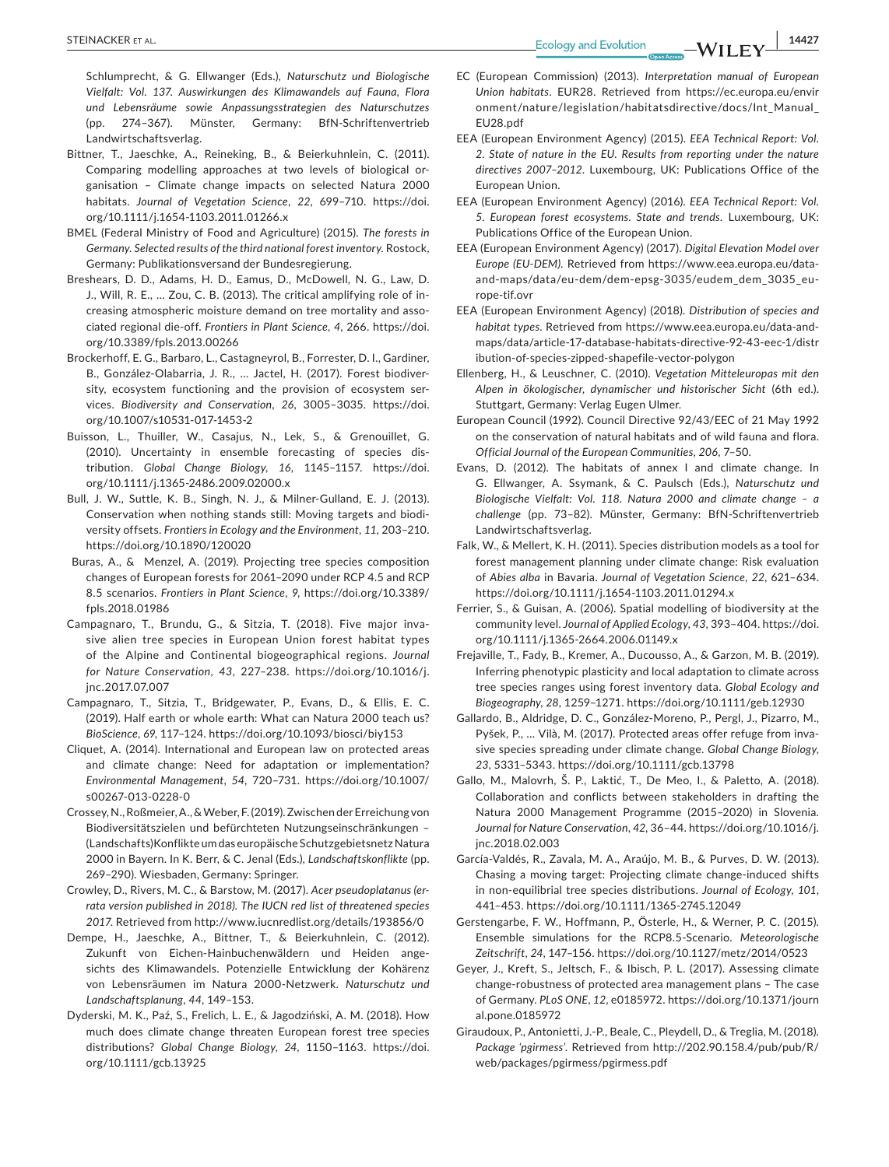**EXELINACKER ET AL.** 14427

Schlumprecht, & G. Ellwanger (Eds.), *Naturschutz und Biologische Vielfalt: Vol. 137. Auswirkungen des Klimawandels auf Fauna, Flora und Lebensräume sowie Anpassungsstrategien des Naturschutzes* (pp. 274–367). Münster, Germany: BfN-Schriftenvertrieb Landwirtschaftsverlag.

- Bittner, T., Jaeschke, A., Reineking, B., & Beierkuhnlein, C. (2011). Comparing modelling approaches at two levels of biological organisation – Climate change impacts on selected Natura 2000 habitats. *Journal of Vegetation Science*, *22*, 699–710. [https://doi.](https://doi.org/10.1111/j.1654-1103.2011.01266.x) [org/10.1111/j.1654-1103.2011.01266.x](https://doi.org/10.1111/j.1654-1103.2011.01266.x)
- BMEL (Federal Ministry of Food and Agriculture) (2015). *The forests in Germany. Selected results of the third national forest inventory*. Rostock, Germany: Publikationsversand der Bundesregierung.
- Breshears, D. D., Adams, H. D., Eamus, D., McDowell, N. G., Law, D. J., Will, R. E., … Zou, C. B. (2013). The critical amplifying role of increasing atmospheric moisture demand on tree mortality and associated regional die-off. *Frontiers in Plant Science*, *4*, 266. [https://doi.](https://doi.org/10.3389/fpls.2013.00266) [org/10.3389/fpls.2013.00266](https://doi.org/10.3389/fpls.2013.00266)
- Brockerhoff, E. G., Barbaro, L., Castagneyrol, B., Forrester, D. I., Gardiner, B., González-Olabarria, J. R., … Jactel, H. (2017). Forest biodiversity, ecosystem functioning and the provision of ecosystem services. *Biodiversity and Conservation*, *26*, 3005–3035. [https://doi.](https://doi.org/10.1007/s10531-017-1453-2) [org/10.1007/s10531-017-1453-2](https://doi.org/10.1007/s10531-017-1453-2)
- Buisson, L., Thuiller, W., Casajus, N., Lek, S., & Grenouillet, G. (2010). Uncertainty in ensemble forecasting of species distribution. *Global Change Biology*, *16*, 1145–1157. [https://doi.](https://doi.org/10.1111/j.1365-2486.2009.02000.x) [org/10.1111/j.1365-2486.2009.02000.x](https://doi.org/10.1111/j.1365-2486.2009.02000.x)
- Bull, J. W., Suttle, K. B., Singh, N. J., & Milner-Gulland, E. J. (2013). Conservation when nothing stands still: Moving targets and biodiversity offsets. *Frontiers in Ecology and the Environment*, *11*, 203–210. <https://doi.org/10.1890/120020>
- Buras, A., & Menzel, A. (2019). Projecting tree species composition changes of European forests for 2061–2090 under RCP 4.5 and RCP 8.5 scenarios. *Frontiers in Plant Science*, *9*, [https://doi.org/10.3389/](https://doi.org/10.3389/fpls.2018.01986) [fpls.2018.01986](https://doi.org/10.3389/fpls.2018.01986)
- Campagnaro, T., Brundu, G., & Sitzia, T. (2018). Five major invasive alien tree species in European Union forest habitat types of the Alpine and Continental biogeographical regions. *Journal for Nature Conservation*, *43*, 227–238. [https://doi.org/10.1016/j.](https://doi.org/10.1016/j.jnc.2017.07.007) [jnc.2017.07.007](https://doi.org/10.1016/j.jnc.2017.07.007)
- Campagnaro, T., Sitzia, T., Bridgewater, P., Evans, D., & Ellis, E. C. (2019). Half earth or whole earth: What can Natura 2000 teach us? *BioScience*, *69*, 117–124. <https://doi.org/10.1093/biosci/biy153>
- Cliquet, A. (2014). International and European law on protected areas and climate change: Need for adaptation or implementation? *Environmental Management*, *54*, 720–731. [https://doi.org/10.1007/](https://doi.org/10.1007/s00267-013-0228-0) [s00267-013-0228-0](https://doi.org/10.1007/s00267-013-0228-0)
- Crossey, N., Roßmeier, A., & Weber, F. (2019). Zwischen der Erreichung von Biodiversitätszielen und befürchteten Nutzungseinschränkungen – (Landschafts)Konflikte um das europäische Schutzgebietsnetz Natura 2000 in Bayern. In K. Berr, & C. Jenal (Eds.), *Landschaftskonflikte* (pp. 269–290). Wiesbaden, Germany: Springer.
- Crowley, D., Rivers, M. C., & Barstow, M. (2017). *Acer pseudoplatanus (errata version published in 2018). The IUCN red list of threatened species 2017*. Retrieved from<http://www.iucnredlist.org/details/193856/0>
- Dempe, H., Jaeschke, A., Bittner, T., & Beierkuhnlein, C. (2012). Zukunft von Eichen-Hainbuchenwäldern und Heiden angesichts des Klimawandels. Potenzielle Entwicklung der Kohärenz von Lebensräumen im Natura 2000-Netzwerk. *Naturschutz und Landschaftsplanung*, *44*, 149–153.
- Dyderski, M. K., Paź, S., Frelich, L. E., & Jagodziński, A. M. (2018). How much does climate change threaten European forest tree species distributions? *Global Change Biology*, *24*, 1150–1163. [https://doi.](https://doi.org/10.1111/gcb.13925) [org/10.1111/gcb.13925](https://doi.org/10.1111/gcb.13925)
- EC (European Commission) (2013). *Interpretation manual of European Union habitats*. EUR28. Retrieved from [https://ec.europa.eu/envir](https://ec.europa.eu/environment/nature/legislation/habitatsdirective/docs/Int_Manual_EU28.pdf) [onment/nature/legislation/habitatsdirective/docs/Int\\_Manual\\_](https://ec.europa.eu/environment/nature/legislation/habitatsdirective/docs/Int_Manual_EU28.pdf) [EU28.pdf](https://ec.europa.eu/environment/nature/legislation/habitatsdirective/docs/Int_Manual_EU28.pdf)
- EEA (European Environment Agency) (2015). *EEA Technical Report: Vol. 2. State of nature in the EU. Results from reporting under the nature directives 2007–2012*. Luxembourg, UK: Publications Office of the European Union.
- EEA (European Environment Agency) (2016). *EEA Technical Report: Vol. 5. European forest ecosystems. State and trends*. Luxembourg, UK: Publications Office of the European Union.
- EEA (European Environment Agency) (2017). *Digital Elevation Model over Europe (EU-DEM)*. Retrieved from [https://www.eea.europa.eu/data](https://www.eea.europa.eu/data-and-maps/data/eu-dem/dem-epsg-3035/eudem_dem_3035_europe-tif.ovr)[and-maps/data/eu-dem/dem-epsg-3035/eudem\\_dem\\_3035\\_eu](https://www.eea.europa.eu/data-and-maps/data/eu-dem/dem-epsg-3035/eudem_dem_3035_europe-tif.ovr)[rope-tif.ovr](https://www.eea.europa.eu/data-and-maps/data/eu-dem/dem-epsg-3035/eudem_dem_3035_europe-tif.ovr)
- EEA (European Environment Agency) (2018). *Distribution of species and habitat types*. Retrieved from [https://www.eea.europa.eu/data-and](https://www.eea.europa.eu/data-and-maps/data/article-17-database-habitats-directive-92-43-eec-1/distribution-of-species-zipped-shapefile-vector-polygon)[maps/data/article-17-database-habitats-directive-92-43-eec-1/distr](https://www.eea.europa.eu/data-and-maps/data/article-17-database-habitats-directive-92-43-eec-1/distribution-of-species-zipped-shapefile-vector-polygon) [ibution-of-species-zipped-shapefile-vector-polygon](https://www.eea.europa.eu/data-and-maps/data/article-17-database-habitats-directive-92-43-eec-1/distribution-of-species-zipped-shapefile-vector-polygon)
- Ellenberg, H., & Leuschner, C. (2010). *Vegetation Mitteleuropas mit den Alpen in ökologischer, dynamischer und historischer Sicht* (6th ed.). Stuttgart, Germany: Verlag Eugen Ulmer.
- European Council (1992). Council Directive 92/43/EEC of 21 May 1992 on the conservation of natural habitats and of wild fauna and flora. *Official Journal of the European Communities*, *206*, 7–50.
- Evans, D. (2012). The habitats of annex I and climate change. In G. Ellwanger, A. Ssymank, & C. Paulsch (Eds.), *Naturschutz und Biologische Vielfalt: Vol. 118. Natura 2000 and climate change – a challenge* (pp. 73–82). Münster, Germany: BfN-Schriftenvertrieb Landwirtschaftsverlag.
- Falk, W., & Mellert, K. H. (2011). Species distribution models as a tool for forest management planning under climate change: Risk evaluation of *Abies alba* in Bavaria. *Journal of Vegetation Science*, *22*, 621–634. <https://doi.org/10.1111/j.1654-1103.2011.01294.x>
- Ferrier, S., & Guisan, A. (2006). Spatial modelling of biodiversity at the community level. *Journal of Applied Ecology*, *43*, 393–404. [https://doi.](https://doi.org/10.1111/j.1365-2664.2006.01149.x) [org/10.1111/j.1365-2664.2006.01149.x](https://doi.org/10.1111/j.1365-2664.2006.01149.x)
- Frejaville, T., Fady, B., Kremer, A., Ducousso, A., & Garzon, M. B. (2019). Inferring phenotypic plasticity and local adaptation to climate across tree species ranges using forest inventory data. *Global Ecology and Biogeography*, *28*, 1259–1271.<https://doi.org/10.1111/geb.12930>
- Gallardo, B., Aldridge, D. C., González-Moreno, P., Pergl, J., Pizarro, M., Pyšek, P., … Vilà, M. (2017). Protected areas offer refuge from invasive species spreading under climate change. *Global Change Biology*, *23*, 5331–5343. <https://doi.org/10.1111/gcb.13798>
- Gallo, M., Malovrh, Š. P., Laktić, T., De Meo, I., & Paletto, A. (2018). Collaboration and conflicts between stakeholders in drafting the Natura 2000 Management Programme (2015–2020) in Slovenia. *Journal for Nature Conservation*, *42*, 36–44. [https://doi.org/10.1016/j.](https://doi.org/10.1016/j.jnc.2018.02.003) [jnc.2018.02.003](https://doi.org/10.1016/j.jnc.2018.02.003)
- García-Valdés, R., Zavala, M. A., Araújo, M. B., & Purves, D. W. (2013). Chasing a moving target: Projecting climate change-induced shifts in non-equilibrial tree species distributions. *Journal of Ecology*, *101*, 441–453. <https://doi.org/10.1111/1365-2745.12049>
- Gerstengarbe, F. W., Hoffmann, P., Österle, H., & Werner, P. C. (2015). Ensemble simulations for the RCP8.5-Scenario. *Meteorologische Zeitschrift*, *24*, 147–156.<https://doi.org/10.1127/metz/2014/0523>
- Geyer, J., Kreft, S., Jeltsch, F., & Ibisch, P. L. (2017). Assessing climate change-robustness of protected area management plans – The case of Germany. *PLoS ONE*, *12*, e0185972. [https://doi.org/10.1371/journ](https://doi.org/10.1371/journal.pone.0185972) [al.pone.0185972](https://doi.org/10.1371/journal.pone.0185972)
- Giraudoux, P., Antonietti, J.-P., Beale, C., Pleydell, D., & Treglia, M. (2018). *Package 'pgirmess'*. Retrieved from [http://202.90.158.4/pub/pub/R/](http://202.90.158.4/pub/pub/R/web/packages/pgirmess/pgirmess.pdf) [web/packages/pgirmess/pgirmess.pdf](http://202.90.158.4/pub/pub/R/web/packages/pgirmess/pgirmess.pdf)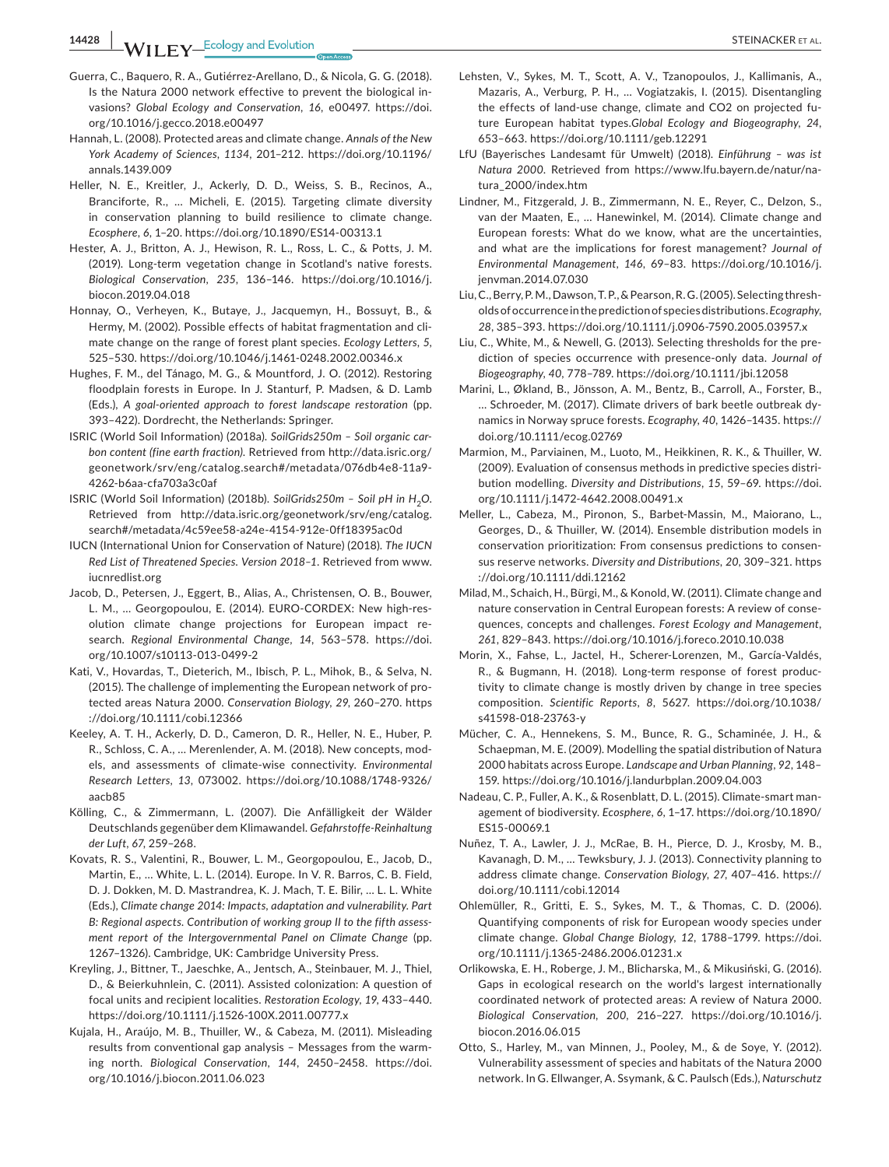**14428 |**  STEINACKER et al.

- Guerra, C., Baquero, R. A., Gutiérrez-Arellano, D., & Nicola, G. G. (2018). Is the Natura 2000 network effective to prevent the biological invasions? *Global Ecology and Conservation*, *16*, e00497. [https://doi.](https://doi.org/10.1016/j.gecco.2018.e00497) [org/10.1016/j.gecco.2018.e00497](https://doi.org/10.1016/j.gecco.2018.e00497)
- Hannah, L. (2008). Protected areas and climate change. *Annals of the New York Academy of Sciences*, *1134*, 201–212. [https://doi.org/10.1196/](https://doi.org/10.1196/annals.1439.009) [annals.1439.009](https://doi.org/10.1196/annals.1439.009)
- Heller, N. E., Kreitler, J., Ackerly, D. D., Weiss, S. B., Recinos, A., Branciforte, R., … Micheli, E. (2015). Targeting climate diversity in conservation planning to build resilience to climate change. *Ecosphere*, *6*, 1–20.<https://doi.org/10.1890/ES14-00313.1>
- Hester, A. J., Britton, A. J., Hewison, R. L., Ross, L. C., & Potts, J. M. (2019). Long-term vegetation change in Scotland's native forests. *Biological Conservation*, *235*, 136–146. [https://doi.org/10.1016/j.](https://doi.org/10.1016/j.biocon.2019.04.018) [biocon.2019.04.018](https://doi.org/10.1016/j.biocon.2019.04.018)
- Honnay, O., Verheyen, K., Butaye, J., Jacquemyn, H., Bossuyt, B., & Hermy, M. (2002). Possible effects of habitat fragmentation and climate change on the range of forest plant species. *Ecology Letters*, *5*, 525–530. <https://doi.org/10.1046/j.1461-0248.2002.00346.x>
- Hughes, F. M., del Tánago, M. G., & Mountford, J. O. (2012). Restoring floodplain forests in Europe. In J. Stanturf, P. Madsen, & D. Lamb (Eds.), *A goal-oriented approach to forest landscape restoration* (pp. 393–422). Dordrecht, the Netherlands: Springer.
- ISRIC (World Soil Information) (2018a). *SoilGrids250m Soil organic carbon content (fine earth fraction)*. Retrieved from [http://data.isric.org/](http://data.isric.org/geonetwork/srv/eng/catalog.search#/metadata/076db4e8-11a9-4262-b6aa-cfa703a3c0af) [geonetwork/srv/eng/catalog.search#/metadata/076db4e8-11a9-](http://data.isric.org/geonetwork/srv/eng/catalog.search#/metadata/076db4e8-11a9-4262-b6aa-cfa703a3c0af) [4262-b6aa-cfa703a3c0af](http://data.isric.org/geonetwork/srv/eng/catalog.search#/metadata/076db4e8-11a9-4262-b6aa-cfa703a3c0af)
- ISRIC (World Soil Information) (2018b). SoilGrids250m Soil pH in H<sub>2</sub>O. Retrieved from [http://data.isric.org/geonetwork/srv/eng/catalog.](http://data.isric.org/geonetwork/srv/eng/catalog.search#/metadata/4c59ee58-a24e-4154-912e-0ff18395ac0d) [search#/metadata/4c59ee58-a24e-4154-912e-0ff18395ac0d](http://data.isric.org/geonetwork/srv/eng/catalog.search#/metadata/4c59ee58-a24e-4154-912e-0ff18395ac0d)
- IUCN (International Union for Conservation of Nature) (2018). *The IUCN Red List of Threatened Species. Version 2018–1*. Retrieved from [www.](http://www.iucnredlist.org) [iucnredlist.org](http://www.iucnredlist.org)
- Jacob, D., Petersen, J., Eggert, B., Alias, A., Christensen, O. B., Bouwer, L. M., … Georgopoulou, E. (2014). EURO-CORDEX: New high-resolution climate change projections for European impact research. *Regional Environmental Change*, *14*, 563–578. [https://doi.](https://doi.org/10.1007/s10113-013-0499-2) [org/10.1007/s10113-013-0499-2](https://doi.org/10.1007/s10113-013-0499-2)
- Kati, V., Hovardas, T., Dieterich, M., Ibisch, P. L., Mihok, B., & Selva, N. (2015). The challenge of implementing the European network of protected areas Natura 2000. *Conservation Biology*, *29*, 260–270. [https](https://doi.org/10.1111/cobi.12366) [://doi.org/10.1111/cobi.12366](https://doi.org/10.1111/cobi.12366)
- Keeley, A. T. H., Ackerly, D. D., Cameron, D. R., Heller, N. E., Huber, P. R., Schloss, C. A., … Merenlender, A. M. (2018). New concepts, models, and assessments of climate-wise connectivity. *Environmental Research Letters*, *13*, 073002. [https://doi.org/10.1088/1748-9326/](https://doi.org/10.1088/1748-9326/aacb85) [aacb85](https://doi.org/10.1088/1748-9326/aacb85)
- Kölling, C., & Zimmermann, L. (2007). Die Anfälligkeit der Wälder Deutschlands gegenüber dem Klimawandel. *Gefahrstoffe-Reinhaltung der Luft*, *67*, 259–268.
- Kovats, R. S., Valentini, R., Bouwer, L. M., Georgopoulou, E., Jacob, D., Martin, E., … White, L. L. (2014). Europe. In V. R. Barros, C. B. Field, D. J. Dokken, M. D. Mastrandrea, K. J. Mach, T. E. Bilir, … L. L. White (Eds.), *Climate change 2014: Impacts, adaptation and vulnerability. Part B: Regional aspects. Contribution of working group II to the fifth assessment report of the Intergovernmental Panel on Climate Change* (pp. 1267–1326). Cambridge, UK: Cambridge University Press.
- Kreyling, J., Bittner, T., Jaeschke, A., Jentsch, A., Steinbauer, M. J., Thiel, D., & Beierkuhnlein, C. (2011). Assisted colonization: A question of focal units and recipient localities. *Restoration Ecology*, *19*, 433–440. <https://doi.org/10.1111/j.1526-100X.2011.00777.x>
- Kujala, H., Araújo, M. B., Thuiller, W., & Cabeza, M. (2011). Misleading results from conventional gap analysis – Messages from the warming north. *Biological Conservation*, *144*, 2450–2458. [https://doi.](https://doi.org/10.1016/j.biocon.2011.06.023) [org/10.1016/j.biocon.2011.06.023](https://doi.org/10.1016/j.biocon.2011.06.023)
- Lehsten, V., Sykes, M. T., Scott, A. V., Tzanopoulos, J., Kallimanis, A., Mazaris, A., Verburg, P. H., … Vogiatzakis, I. (2015). Disentangling the effects of land-use change, climate and CO2 on projected future European habitat types.*Global Ecology and Biogeography*, *24*, 653–663.<https://doi.org/10.1111/geb.12291>
- LfU (Bayerisches Landesamt für Umwelt) (2018). *Einführung was ist Natura 2000*. Retrieved from [https://www.lfu.bayern.de/natur/na](https://www.lfu.bayern.de/natur/natura_2000/index.htm)[tura\\_2000/index.htm](https://www.lfu.bayern.de/natur/natura_2000/index.htm)
- Lindner, M., Fitzgerald, J. B., Zimmermann, N. E., Reyer, C., Delzon, S., van der Maaten, E., … Hanewinkel, M. (2014). Climate change and European forests: What do we know, what are the uncertainties, and what are the implications for forest management? *Journal of Environmental Management*, *146*, 69–83. [https://doi.org/10.1016/j.](https://doi.org/10.1016/j.jenvman.2014.07.030) [jenvman.2014.07.030](https://doi.org/10.1016/j.jenvman.2014.07.030)
- Liu, C., Berry, P. M., Dawson, T. P., & Pearson, R. G. (2005). Selecting thresholds of occurrence in the prediction of species distributions. *Ecography*, *28*, 385–393.<https://doi.org/10.1111/j.0906-7590.2005.03957.x>
- Liu, C., White, M., & Newell, G. (2013). Selecting thresholds for the prediction of species occurrence with presence-only data. *Journal of Biogeography*, *40*, 778–789.<https://doi.org/10.1111/jbi.12058>
- Marini, L., Økland, B., Jönsson, A. M., Bentz, B., Carroll, A., Forster, B., … Schroeder, M. (2017). Climate drivers of bark beetle outbreak dynamics in Norway spruce forests. *Ecography*, *40*, 1426–1435. [https://](https://doi.org/10.1111/ecog.02769) [doi.org/10.1111/ecog.02769](https://doi.org/10.1111/ecog.02769)
- Marmion, M., Parviainen, M., Luoto, M., Heikkinen, R. K., & Thuiller, W. (2009). Evaluation of consensus methods in predictive species distribution modelling. *Diversity and Distributions*, *15*, 59–69. [https://doi.](https://doi.org/10.1111/j.1472-4642.2008.00491.x) [org/10.1111/j.1472-4642.2008.00491.x](https://doi.org/10.1111/j.1472-4642.2008.00491.x)
- Meller, L., Cabeza, M., Pironon, S., Barbet-Massin, M., Maiorano, L., Georges, D., & Thuiller, W. (2014). Ensemble distribution models in conservation prioritization: From consensus predictions to consensus reserve networks. *Diversity and Distributions*, *20*, 309–321. [https](https://doi.org/10.1111/ddi.12162) [://doi.org/10.1111/ddi.12162](https://doi.org/10.1111/ddi.12162)
- Milad, M., Schaich, H., Bürgi, M., & Konold, W. (2011). Climate change and nature conservation in Central European forests: A review of consequences, concepts and challenges. *Forest Ecology and Management*, *261*, 829–843. <https://doi.org/10.1016/j.foreco.2010.10.038>
- Morin, X., Fahse, L., Jactel, H., Scherer-Lorenzen, M., García-Valdés, R., & Bugmann, H. (2018). Long-term response of forest productivity to climate change is mostly driven by change in tree species composition. *Scientific Reports*, *8*, 5627. [https://doi.org/10.1038/](https://doi.org/10.1038/s41598-018-23763-y) [s41598-018-23763-y](https://doi.org/10.1038/s41598-018-23763-y)
- Mücher, C. A., Hennekens, S. M., Bunce, R. G., Schaminée, J. H., & Schaepman, M. E. (2009). Modelling the spatial distribution of Natura 2000 habitats across Europe. *Landscape and Urban Planning*, *92*, 148– 159. <https://doi.org/10.1016/j.landurbplan.2009.04.003>
- Nadeau, C. P., Fuller, A. K., & Rosenblatt, D. L. (2015). Climate-smart management of biodiversity. *Ecosphere*, *6*, 1–17. [https://doi.org/10.1890/](https://doi.org/10.1890/ES15-00069.1) [ES15-00069.1](https://doi.org/10.1890/ES15-00069.1)
- Nuñez, T. A., Lawler, J. J., McRae, B. H., Pierce, D. J., Krosby, M. B., Kavanagh, D. M., … Tewksbury, J. J. (2013). Connectivity planning to address climate change. *Conservation Biology*, *27*, 407–416. [https://](https://doi.org/10.1111/cobi.12014) [doi.org/10.1111/cobi.12014](https://doi.org/10.1111/cobi.12014)
- Ohlemüller, R., Gritti, E. S., Sykes, M. T., & Thomas, C. D. (2006). Quantifying components of risk for European woody species under climate change. *Global Change Biology*, *12*, 1788–1799. [https://doi.](https://doi.org/10.1111/j.1365-2486.2006.01231.x) [org/10.1111/j.1365-2486.2006.01231.x](https://doi.org/10.1111/j.1365-2486.2006.01231.x)
- Orlikowska, E. H., Roberge, J. M., Blicharska, M., & Mikusiński, G. (2016). Gaps in ecological research on the world's largest internationally coordinated network of protected areas: A review of Natura 2000. *Biological Conservation*, *200*, 216–227. [https://doi.org/10.1016/j.](https://doi.org/10.1016/j.biocon.2016.06.015) [biocon.2016.06.015](https://doi.org/10.1016/j.biocon.2016.06.015)
- Otto, S., Harley, M., van Minnen, J., Pooley, M., & de Soye, Y. (2012). Vulnerability assessment of species and habitats of the Natura 2000 network. In G. Ellwanger, A. Ssymank, & C. Paulsch (Eds.), *Naturschutz*